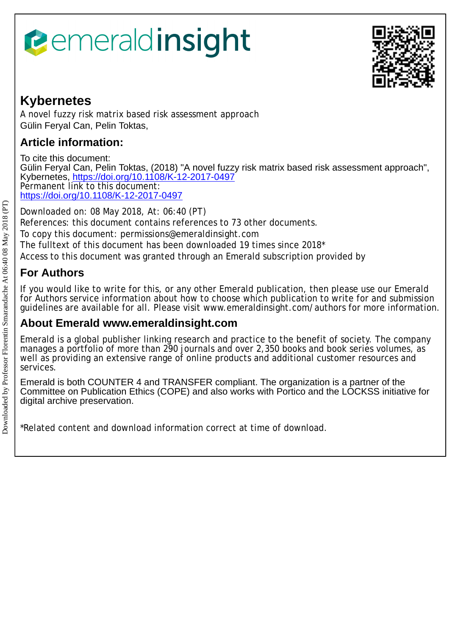# *<u><b>e*emeraldinsight</u>



## **Kybernetes**

A novel fuzzy risk matrix based risk assessment approach Gülin Feryal Can, Pelin Toktas,

## **Article information:**

To cite this document: Gülin Feryal Can, Pelin Toktas, (2018) "A novel fuzzy risk matrix based risk assessment approach", Kybernetes, <https://doi.org/10.1108/K-12-2017-0497> Permanent link to this document: <https://doi.org/10.1108/K-12-2017-0497>

Downloaded on: 08 May 2018, At: 06:40 (PT) References: this document contains references to 73 other documents. To copy this document: permissions@emeraldinsight.com The fulltext of this document has been downloaded 19 times since 2018\* Access to this document was granted through an Emerald subscription provided by

## **For Authors**

If you would like to write for this, or any other Emerald publication, then please use our Emerald for Authors service information about how to choose which publication to write for and submission guidelines are available for all. Please visit www.emeraldinsight.com/authors for more information.

### **About Emerald www.emeraldinsight.com**

Emerald is a global publisher linking research and practice to the benefit of society. The company manages a portfolio of more than 290 journals and over 2,350 books and book series volumes, as well as providing an extensive range of online products and additional customer resources and services.

Emerald is both COUNTER 4 and TRANSFER compliant. The organization is a partner of the Committee on Publication Ethics (COPE) and also works with Portico and the LOCKSS initiative for digital archive preservation.

\*Related content and download information correct at time of download.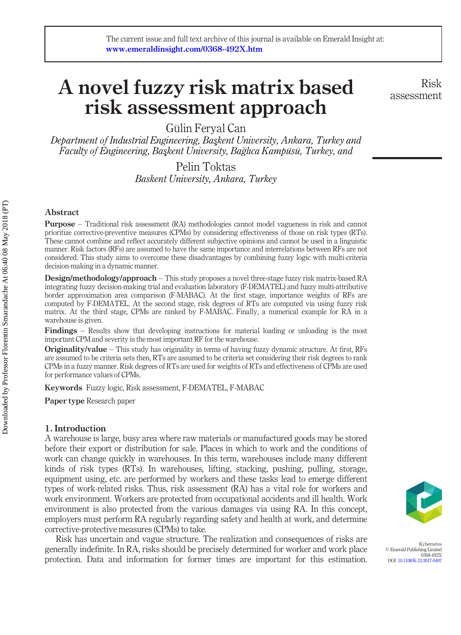## A novel fuzzy risk matrix based risk assessment approach

Gülin Feryal Can

Department of Industrial Engineering, Baskent University, Ankara, Turkey and Faculty of Engineering, Başkent University, Bağlıca Kampüsü, Turkey, and

> Pelin Toktas Baskent University, Ankara, Turkey

#### Abstract

Purpose – Traditional risk assessment (RA) methodologies cannot model vagueness in risk and cannot prioritize corrective-preventive measures (CPMs) by considering effectiveness of those on risk types (RTs). These cannot combine and reflect accurately different subjective opinions and cannot be used in a linguistic manner. Risk factors (RFs) are assumed to have the same importance and interrelations between RFs are not considered. This study aims to overcome these disadvantages by combining fuzzy logic with multi-criteria decision-making in a dynamic manner.

Design/methodology/approach – This study proposes a novel three-stage fuzzy risk matrix-based RA integrating fuzzy decision-making trial and evaluation laboratory (F-DEMATEL) and fuzzy multi-attributive border approximation area comparison (F-MABAC). At the first stage, importance weights of RFs are computed by F-DEMATEL. At the second stage, risk degrees of RTs are computed via using fuzzy risk matrix. At the third stage, CPMs are ranked by F-MABAC. Finally, a numerical example for RA in a warehouse is given.

Findings – Results show that developing instructions for material loading or unloading is the most important CPM and severity is the most important RF for the warehouse.

**Originality/value** – This study has originality in terms of having fuzzy dynamic structure. At first, RFs are assumed to be criteria sets then, RTs are assumed to be criteria set considering their risk degrees to rank CPMs in a fuzzy manner. Risk degrees of RTs are used for weights of RTs and effectiveness of CPMs are used for performance values of CPMs.

Keywords Fuzzy logic, Risk assessment, F-DEMATEL, F-MABAC

Paper type Research paper

#### 1. Introduction

A warehouse is large, busy area where raw materials or manufactured goods may be stored before their export or distribution for sale. Places in which to work and the conditions of work can change quickly in warehouses. In this term, warehouses include many different kinds of risk types (RTs). In warehouses, lifting, stacking, pushing, pulling, storage, equipment using, etc. are performed by workers and these tasks lead to emerge different types of work-related risks. Thus, risk assessment (RA) has a vital role for workers and work environment. Workers are protected from occupational accidents and ill health. Work environment is also protected from the various damages via using RA. In this concept, employers must perform RA regularly regarding safety and health at work, and determine corrective-protective measures (CPMs) to take.

Risk has uncertain and vague structure. The realization and consequences of risks are generally indefinite. In RA, risks should be precisely determined for worker and work place protection. Data and information for former times are important for this estimation.



Kybernetes © Emerald Publishing Limited 0368-492X DOI [10.1108/K-12-2017-0497](http://dx.doi.org/10.1108/K-12-2017-0497)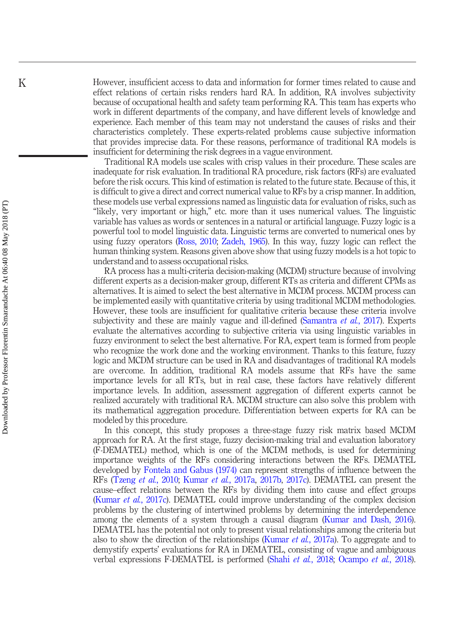However, insufficient access to data and information for former times related to cause and effect relations of certain risks renders hard RA. In addition, RA involves subjectivity because of occupational health and safety team performing RA. This team has experts who work in different departments of the company, and have different levels of knowledge and experience. Each member of this team may not understand the causes of risks and their characteristics completely. These experts-related problems cause subjective information that provides imprecise data. For these reasons, performance of traditional RA models is insufficient for determining the risk degrees in a vague environment.

Traditional RA models use scales with crisp values in their procedure. These scales are inadequate for risk evaluation. In traditional RA procedure, risk factors (RFs) are evaluated before the risk occurs. This kind of estimation is related to the future state. Because of this, it is difficult to give a direct and correct numerical value to RFs by a crisp manner. In addition, these models use verbal expressions named as linguistic data for evaluation of risks, such as "likely, very important or high," etc. more than it uses numerical values. The linguistic variable has values as words or sentences in a natural or artificial language. Fuzzy logic is a powerful tool to model linguistic data. Linguistic terms are converted to numerical ones by using fuzzy operators [\(Ross, 2010;](#page-30-0) [Zadeh, 1965](#page-31-0)). In this way, fuzzy logic can reflect the human thinking system. Reasons given above show that using fuzzy models is a hot topic to understand and to assess occupational risks.

RA process has a multi-criteria decision-making (MCDM) structure because of involving different experts as a decision-maker group, different RTs as criteria and different CPMs as alternatives. It is aimed to select the best alternative in MCDM process. MCDM process can be implemented easily with quantitative criteria by using traditional MCDM methodologies. However, these tools are insufficient for qualitative criteria because these criteria involve subjectivity and these are mainly vague and ill-defined [\(Samantra](#page-30-1) *et al.*, 2017). Experts evaluate the alternatives according to subjective criteria via using linguistic variables in fuzzy environment to select the best alternative. For RA, expert team is formed from people who recognize the work done and the working environment. Thanks to this feature, fuzzy logic and MCDM structure can be used in RA and disadvantages of traditional RA models are overcome. In addition, traditional RA models assume that RFs have the same importance levels for all RTs, but in real case, these factors have relatively different importance levels. In addition, assessment aggregation of different experts cannot be realized accurately with traditional RA. MCDM structure can also solve this problem with its mathematical aggregation procedure. Differentiation between experts for RA can be modeled by this procedure.

In this concept, this study proposes a three-stage fuzzy risk matrix based MCDM approach for RA. At the first stage, fuzzy decision-making trial and evaluation laboratory (F-DEMATEL) method, which is one of the MCDM methods, is used for determining importance weights of the RFs considering interactions between the RFs. DEMATEL developed by [Fontela and Gabus \(1974\)](#page-27-0) can represent strengths of influence between the RFs [\(Tzeng](#page-30-2) et al., 2010; Kumar et al.[, 2017a](#page-28-0), [2017b](#page-28-1), [2017c](#page-28-2)). DEMATEL can present the cause–effect relations between the RFs by dividing them into cause and effect groups (Kumar et al.[, 2017c](#page-28-2)). DEMATEL could improve understanding of the complex decision problems by the clustering of intertwined problems by determining the interdependence among the elements of a system through a causal diagram [\(Kumar and Dash, 2016\)](#page-28-3). DEMATEL has the potential not only to present visual relationships among the criteria but also to show the direction of the relationships (Kumar et al.[, 2017a\)](#page-28-0). To aggregate and to demystify experts' evaluations for RA in DEMATEL, consisting of vague and ambiguous verbal expressions F-DEMATEL is performed (Shahi et al.[, 2018;](#page-30-3) [Ocampo](#page-29-0) et al., 2018).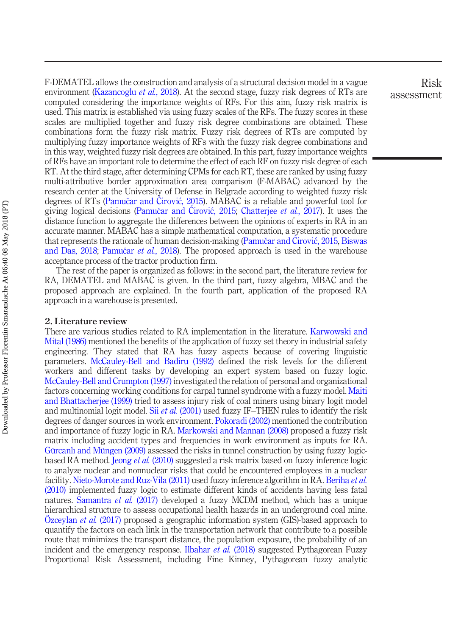F-DEMATEL allows the construction and analysis of a structural decision model in a vague environment [\(Kazancoglu](#page-28-4) *et al.*, 2018). At the second stage, fuzzy risk degrees of RTs are computed considering the importance weights of RFs. For this aim, fuzzy risk matrix is used. This matrix is established via using fuzzy scales of the RFs. The fuzzy scores in these scales are multiplied together and fuzzy risk degree combinations are obtained. These combinations form the fuzzy risk matrix. Fuzzy risk degrees of RTs are computed by multiplying fuzzy importance weights of RFs with the fuzzy risk degree combinations and in this way, weighted fuzzy risk degrees are obtained. In this part, fuzzy importance weights of RFs have an important role to determine the effect of each RF on fuzzy risk degree of each RT. At the third stage, after determining CPMs for each RT, these are ranked by using fuzzy multi-attributive border approximation area comparison (F-MABAC) advanced by the research center at the University of Defense in Belgrade according to weighted fuzzy risk degrees of RTs (Pamučar and Cirović, 2015). MABAC is a reliable and powerful tool for giving logical decisions (Pamučar and Ćirović, 2015; [Chatterjee](#page-27-1) et al., 2017). It uses the distance function to aggregate the differences between the opinions of experts in RA in an accurate manner. MABAC has a simple mathematical computation, a systematic procedure that represents the rationale of human decision-making (Pamučar and Cirović, 2015, [Biswas](#page-27-2) [and Das, 2018;](#page-27-2) Pamucar *et al.*[, 2018\)](#page-29-2). The proposed approach is used in the warehouse acceptance process of the tractor production firm.

The rest of the paper is organized as follows: in the second part, the literature review for RA, DEMATEL and MABAC is given. In the third part, fuzzy algebra, MBAC and the proposed approach are explained. In the fourth part, application of the proposed RA approach in a warehouse is presented.

#### 2. Literature review

There are various studies related to RA implementation in the literature. [Karwowski and](#page-28-5) [Mital \(1986\)](#page-28-5) mentioned the benefits of the application of fuzzy set theory in industrial safety engineering. They stated that RA has fuzzy aspects because of covering linguistic parameters. [McCauley-Bell and Badiru \(1992\)](#page-29-3) defined the risk levels for the different workers and different tasks by developing an expert system based on fuzzy logic. [McCauley-Bell and Crumpton \(1997\)](#page-29-4) investigated the relation of personal and organizational factors concerning working conditions for carpal tunnel syndrome with a fuzzy model. [Maiti](#page-29-5) [and Bhattacherjee \(1999\)](#page-29-5) tried to assess injury risk of coal miners using binary logit model and multinomial logit model. Sii *et al.* [\(2001\)](#page-30-4) used fuzzy IF–THEN rules to identify the risk degrees of danger sources in work environment. [Pokoradi \(2002\)](#page-29-6) mentioned the contribution and importance of fuzzy logic in RA. [Markowski and Mannan \(2008\)](#page-29-7) proposed a fuzzy risk matrix including accident types and frequencies in work environment as inputs for RA. Gürcanlı [and Müngen \(2009\)](#page-28-6) assessed the risks in tunnel construction by using fuzzy logicbased RA method. Jeong et al. [\(2010\)](#page-28-7) suggested a risk matrix based on fuzzy inference logic to analyze nuclear and nonnuclear risks that could be encountered employees in a nuclear facility. [Nieto-Morote and Ruz-Vila \(2011\)](#page-29-8) used fuzzy inference algorithm in RA. [Beriha](#page-27-3) et al. [\(2010\)](#page-27-3) implemented fuzzy logic to estimate different kinds of accidents having less fatal natures. [Samantra](#page-30-1) et al. (2017) developed a fuzzy MCDM method, which has a unique hierarchical structure to assess occupational health hazards in an underground coal mine. [Özceylan](#page-29-9) et al. (2017) proposed a geographic information system (GIS)-based approach to quantify the factors on each link in the transportation network that contribute to a possible route that minimizes the transport distance, the population exposure, the probability of an incident and the emergency response. [Ilbahar](#page-28-8) *et al.* (2018) suggested Pythagorean Fuzzy Proportional Risk Assessment, including Fine Kinney, Pythagorean fuzzy analytic

Risk assessment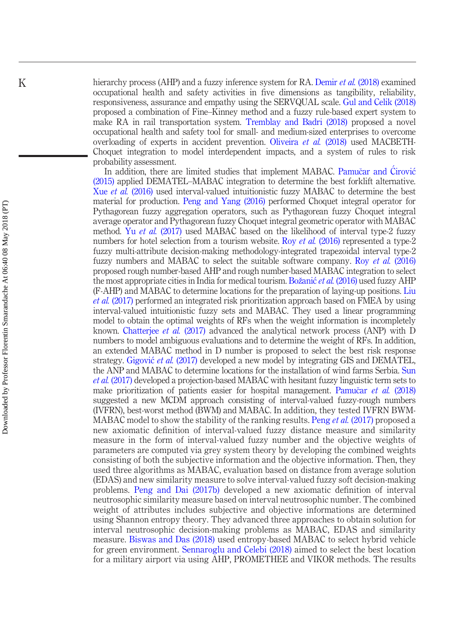hierarchy process (AHP) and a fuzzy inference system for RA. [Demir](#page-27-4) et al. (2018) examined occupational health and safety activities in five dimensions as tangibility, reliability, responsiveness, assurance and empathy using the SERVQUAL scale. [Gul and Celik \(2018\)](#page-28-9) proposed a combination of Fine–Kinney method and a fuzzy rule-based expert system to make RA in rail transportation system. [Tremblay and Badri \(2018\)](#page-30-5) proposed a novel occupational health and safety tool for small- and medium-sized enterprises to overcome overloading of experts in accident prevention. [Oliveira](#page-29-10) et al. (2018) used MACBETH-Choquet integration to model interdependent impacts, and a system of rules to risk probability assessment.

In addition, there are limited studies that implement MABAC. Pamučar and Ćirović [\(2015\)](#page-29-1) applied DEMATEL–MABAC integration to determine the best forklift alternative. Xue *et al.* [\(2016\)](#page-31-1) used interval-valued intuitionistic fuzzy MABAC to determine the best material for production. [Peng and Yang \(2016\)](#page-29-11) performed Choquet integral operator for Pythagorean fuzzy aggregation operators, such as Pythagorean fuzzy Choquet integral average operator and Pythagorean fuzzy Choquet integral geometric operator with MABAC method. Yu et al. [\(2017\)](#page-31-2) used MABAC based on the likelihood of interval type-2 fuzzy numbers for hotel selection from a tourism website. Roy *et al.* [\(2016\)](#page-30-6) represented a type-2 fuzzy multi-attribute decision-making methodology-integrated trapezoidal interval type-2 fuzzy numbers and MABAC to select the suitable software company. Roy et al. [\(2016\)](#page-30-7) proposed rough number-based AHP and rough number-based MABAC integration to select the most appropriate cities in India for medical tourism. Božanić *et al.* [\(2016\)](#page-27-5) used fuzzy AHP (F-AHP) and MABAC to determine locations for the preparation of laying-up positions. [Liu](#page-28-10) et al. [\(2017\)](#page-28-10) performed an integrated risk prioritization approach based on FMEA by using interval-valued intuitionistic fuzzy sets and MABAC. They used a linear programming model to obtain the optimal weights of RFs when the weight information is incompletely known. [Chatterjee](#page-27-1) et al. (2017) advanced the analytical network process (ANP) with D numbers to model ambiguous evaluations and to determine the weight of RFs. In addition, an extended MABAC method in D number is proposed to select the best risk response strategy. [Gigovi](#page-28-11)c *et al.* (2017) developed a new model by integrating GIS and DEMATEL, the ANP and MABAC to determine locations for the installation of wind farms Serbia. [Sun](#page-30-8) et al. [\(2017\)](#page-30-8) developed a projection-based MABAC with hesitant fuzzy linguistic term sets to make prioritization of patients easier for hospital management. Pamucar *et al.* [\(2018\)](#page-29-2) suggested a new MCDM approach consisting of interval-valued fuzzy-rough numbers (IVFRN), best-worst method (BWM) and MABAC. In addition, they tested IVFRN BWM-MABAC model to show the stability of the ranking results. Peng *et al.* [\(2017\)](#page-29-12) proposed a new axiomatic definition of interval-valued fuzzy distance measure and similarity measure in the form of interval-valued fuzzy number and the objective weights of parameters are computed via grey system theory by developing the combined weights consisting of both the subjective information and the objective information. Then, they used three algorithms as MABAC, evaluation based on distance from average solution (EDAS) and new similarity measure to solve interval-valued fuzzy soft decision-making problems. [Peng and Dai \(2017b\)](#page-29-13) developed a new axiomatic definition of interval neutrosophic similarity measure based on interval neutrosophic number. The combined weight of attributes includes subjective and objective informations are determined using Shannon entropy theory. They advanced three approaches to obtain solution for interval neutrosophic decision-making problems as MABAC, EDAS and similarity measure. [Biswas and Das \(2018\)](#page-27-2) used entropy-based MABAC to select hybrid vehicle for green environment. [Sennaroglu and Celebi \(2018\)](#page-30-9) aimed to select the best location for a military airport via using AHP, PROMETHEE and VIKOR methods. The results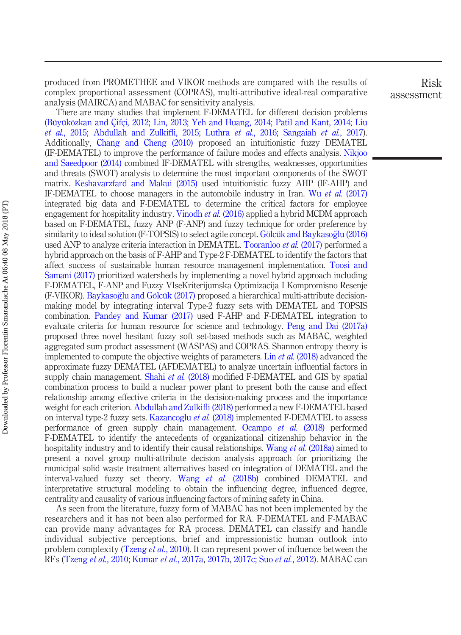produced from PROMETHEE and VIKOR methods are compared with the results of complex proportional assessment (COPRAS), multi-attributive ideal-real comparative analysis (MAIRCA) and MABAC for sensitivity analysis.

There are many studies that implement F-DEMATEL for different decision problems [\(Büyüközkan and Çifçi, 2012](#page-27-6); [Lin, 2013](#page-28-12); [Yeh and Huang, 2014;](#page-31-3) [Patil and Kant, 2014](#page-29-14); [Liu](#page-28-13) et al.[, 2015;](#page-28-13) [Abdullah and Zulki](#page-27-7)fli, 2015; [Luthra](#page-28-14) et al., 2016; [Sangaiah](#page-30-10) et al., 2017). Additionally, [Chang and Cheng \(2010\)](#page-27-8) proposed an intuitionistic fuzzy DEMATEL (IF-DEMATEL) to improve the performance of failure modes and effects analysis. [Nikjoo](#page-29-15) [and Saeedpoor \(2014\)](#page-29-15) combined IF-DEMATEL with strengths, weaknesses, opportunities and threats (SWOT) analysis to determine the most important components of the SWOT matrix. [Keshavarzfard and Makui \(2015\)](#page-28-15) used intuitionistic fuzzy AHP (IF-AHP) and IF-DEMATEL to choose managers in the automobile industry in Iran. Wu et al. [\(2017\)](#page-30-11) integrated big data and F-DEMATEL to determine the critical factors for employee engagement for hospitality industry. [Vinodh](#page-30-12) et al. (2016) applied a hybrid MCDM approach based on F-DEMATEL, fuzzy ANP (F-ANP) and fuzzy technique for order preference by similarity to ideal solution (F-TOPSIS) to select agile concept. [Gölcük and Baykasoglu \(2016\)](#page-28-16) used ANP to analyze criteria interaction in DEMATEL. [Tooranloo](#page-30-13) *et al.* (2017) performed a hybrid approach on the basis of F-AHP and Type-2 F-DEMATEL to identify the factors that affect success of sustainable human resource management implementation. [Toosi and](#page-30-14) [Samani \(2017\)](#page-30-14) prioritized watersheds by implementing a novel hybrid approach including F-DEMATEL, F-ANP and Fuzzy VIseKriterijumska Optimizacija I Kompromisno Resenje (F-VIKOR). [Baykasoglu and Gölcük \(2017\)](#page-27-9) proposed a hierarchical multi-attribute decisionmaking model by integrating interval Type-2 fuzzy sets with DEMATEL and TOPSIS combination. [Pandey and Kumar \(2017\)](#page-29-16) used F-AHP and F-DEMATEL integration to evaluate criteria for human resource for science and technology. [Peng and Dai \(2017a\)](#page-29-17) proposed three novel hesitant fuzzy soft set-based methods such as MABAC, weighted aggregated sum product assessment (WASPAS) and COPRAS. Shannon entropy theory is implemented to compute the objective weights of parameters. Lin  $et al.$  [\(2018\)](#page-28-17) advanced the approximate fuzzy DEMATEL (AFDEMATEL) to analyze uncertain influential factors in supply chain management. Shahi et al. [\(2018\)](#page-30-3) modified F-DEMATEL and GIS by spatial combination process to build a nuclear power plant to present both the cause and effect relationship among effective criteria in the decision-making process and the importance weight for each criterion. [Abdullah and Zulki](#page-27-10)fli (2018) performed a new F-DEMATEL based on interval type-2 fuzzy sets. [Kazancoglu](#page-28-4) *et al.* (2018) implemented F-DEMATEL to assess performance of green supply chain management. [Ocampo](#page-29-0) et al. (2018) performed F-DEMATEL to identify the antecedents of organizational citizenship behavior in the hospitality industry and to identify their causal relationships. Wang *et al.* [\(2018a\)](#page-30-15) aimed to present a novel group multi-attribute decision analysis approach for prioritizing the municipal solid waste treatment alternatives based on integration of DEMATEL and the interval-valued fuzzy set theory. Wang et al. [\(2018b\)](#page-30-16) combined DEMATEL and interpretative structural modeling to obtain the influencing degree, influenced degree, centrality and causality of various influencing factors of mining safety in China.

As seen from the literature, fuzzy form of MABAC has not been implemented by the researchers and it has not been also performed for RA. F-DEMATEL and F-MABAC can provide many advantages for RA process. DEMATEL can classify and handle individual subjective perceptions, brief and impressionistic human outlook into problem complexity ([Tzeng](#page-30-2) et al., 2010). It can represent power of influence between the RFs ([Tzeng](#page-30-2) et al., 2010; Kumar et al.[, 2017a,](#page-28-0) [2017b,](#page-28-1) [2017c](#page-28-2); Suo et al.[, 2012](#page-30-17)). MABAC can

Risk assessment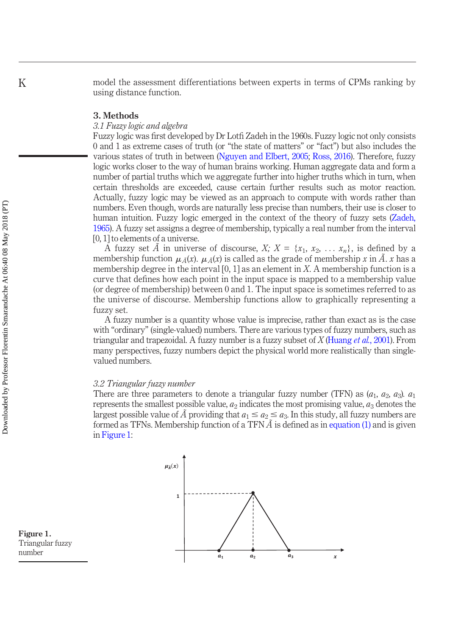model the assessment differentiations between experts in terms of CPMs ranking by using distance function.

#### 3. Methods

#### 3.1 Fuzzy logic and algebra

Fuzzy logic was first developed by Dr Lotfi Zadeh in the 1960s. Fuzzy logic not only consists 0 and 1 as extreme cases of truth (or "the state of matters" or "fact") but also includes the various states of truth in between ([Nguyen and Elbert, 2005](#page-29-18); [Ross, 2016](#page-30-18)). Therefore, fuzzy logic works closer to the way of human brains working. Human aggregate data and form a number of partial truths which we aggregate further into higher truths which in turn, when certain thresholds are exceeded, cause certain further results such as motor reaction. Actually, fuzzy logic may be viewed as an approach to compute with words rather than numbers. Even though, words are naturally less precise than numbers, their use is closer to human intuition. Fuzzy logic emerged in the context of the theory of fuzzy sets ([Zadeh,](#page-31-0) [1965](#page-31-0)). A fuzzy set assigns a degree of membership, typically a real number from the interval [0, 1] to elements of a universe.

A fuzzy set  $\tilde{A}$  in universe of discourse,  $X; X = \{x_1, x_2, \ldots, x_n\}$ , is defined by a membership function  $\mu_{\tilde{A}}(x)$ .  $\mu_{\tilde{A}}(x)$  is called as the grade of membership x in  $\tilde{A}$ . x has a membership degree in the interval  $[0, 1]$  as an element in X. A membership function is a curve that defines how each point in the input space is mapped to a membership value (or degree of membership) between 0 and 1. The input space is sometimes referred to as the universe of discourse. Membership functions allow to graphically representing a fuzzy set.

A fuzzy number is a quantity whose value is imprecise, rather than exact as is the case with "ordinary" (single-valued) numbers. There are various types of fuzzy numbers, such as triangular and trapezoidal. A fuzzy number is a fuzzy subset of  $X$  [\(Huang](#page-28-18) *et al.*, 2001). From many perspectives, fuzzy numbers depict the physical world more realistically than singlevalued numbers.

#### 3.2 Triangular fuzzy number

There are three parameters to denote a triangular fuzzy number (TFN) as  $(a_1, a_2, a_3)$ .  $a_1$ represents the smallest possible value,  $a_2$  indicates the most promising value,  $a_3$  denotes the largest possible value of  $\tilde{A}$  providing that  $a_1 \le a_2 \le a_3$ . In this study, all fuzzy numbers are formed as TFNs. Membership function of a TFN  $\vec{A}$  is defined as in equation (1) and is given in [Figure 1](#page-6-0):



<span id="page-6-0"></span>Figure 1. Triangular fuzzy number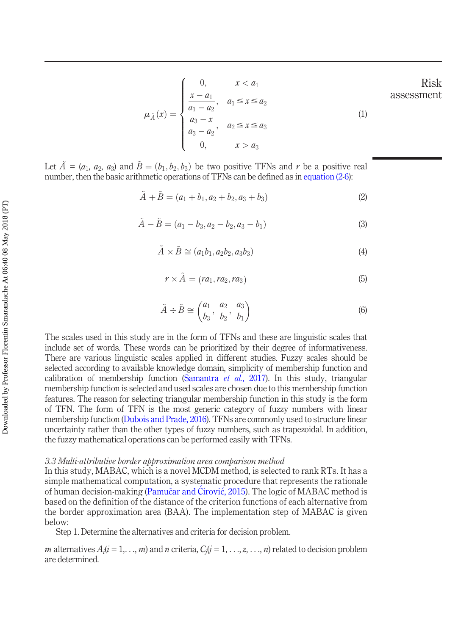<span id="page-7-0"></span>
$$
\mu_{\tilde{A}}(x) = \begin{cases}\n0, & x < a_1 \\
\frac{x - a_1}{a_1 - a_2}, & a_1 \le x \le a_2 \\
\frac{a_3 - x}{a_3 - a_2}, & a_2 \le x \le a_3 \\
0, & x > a_3\n\end{cases}
$$
\n(1)

Let  $\tilde{A} = (a_1, a_2, a_3)$  and  $\tilde{B} = (b_1, b_2, b_3)$  be two positive TFNs and r be a positive real number, then the basic arithmetic operations of TFNs can be defined as in equation (2-6):

$$
\tilde{A} + \tilde{B} = (a_1 + b_1, a_2 + b_2, a_3 + b_3)
$$
\n(2)

$$
\tilde{A} - \tilde{B} = (a_1 - b_3, a_2 - b_2, a_3 - b_1)
$$
\n(3)

$$
\tilde{A} \times \tilde{B} \cong (a_1b_1, a_2b_2, a_3b_3) \tag{4}
$$

$$
r \times \tilde{A} = (ra_1, ra_2, ra_3) \tag{5}
$$

$$
\tilde{A} \div \tilde{B} \cong \left(\frac{a_1}{b_3}, \frac{a_2}{b_2}, \frac{a_3}{b_1}\right) \tag{6}
$$

The scales used in this study are in the form of TFNs and these are linguistic scales that include set of words. These words can be prioritized by their degree of informativeness. There are various linguistic scales applied in different studies. Fuzzy scales should be selected according to available knowledge domain, simplicity of membership function and calibration of membership function [\(Samantra](#page-30-1) *et al.*, 2017). In this study, triangular membership function is selected and used scales are chosen due to this membership function features. The reason for selecting triangular membership function in this study is the form of TFN. The form of TFN is the most generic category of fuzzy numbers with linear membership function [\(Dubois and Prade, 2016](#page-27-11)). TFNs are commonly used to structure linear uncertainty rather than the other types of fuzzy numbers, such as trapezoidal. In addition, the fuzzy mathematical operations can be performed easily with TFNs.

#### 3.3 Multi-attributive border approximation area comparison method

In this study, MABAC, which is a novel MCDM method, is selected to rank RTs. It has a simple mathematical computation, a systematic procedure that represents the rationale of human decision-making (Pamučar and Ćirović, 2015). The logic of MABAC method is based on the definition of the distance of the criterion functions of each alternative from the border approximation area (BAA). The implementation step of MABAC is given below:

Step 1. Determine the alternatives and criteria for decision problem.

*m* alternatives  $A_i (i = 1, \ldots, m)$  and *n* criteria,  $C_j (j = 1, \ldots, z, \ldots, n)$  related to decision problem are determined.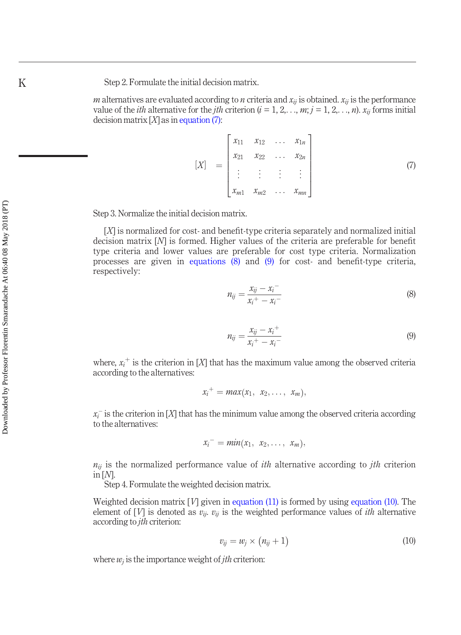Step 2. Formulate the initial decision matrix.

m alternatives are evaluated according to n criteria and  $x_{ii}$  is obtained.  $x_{ii}$  is the performance value of the *ith* alternative for the *jth* criterion ( $i = 1, 2, \ldots, m; j = 1, 2, \ldots, n$ ).  $x_{ij}$  forms initial decision matrix  $[X]$  as in equation (7):

$$
[X] = \begin{bmatrix} x_{11} & x_{12} & \dots & x_{1n} \\ x_{21} & x_{22} & \dots & x_{2n} \\ \vdots & \vdots & \vdots & \vdots \\ x_{m1} & x_{m2} & \dots & x_{mn} \end{bmatrix}
$$
(7)

Step 3. Normalize the initial decision matrix.

[X] is normalized for cost- and benefit-type criteria separately and normalized initial decision matrix [N] is formed. Higher values of the criteria are preferable for benefit type criteria and lower values are preferable for cost type criteria. Normalization processes are given in equations (8) and (9) for cost- and benefit-type criteria, respectively:

$$
n_{ij} = \frac{x_{ij} - x_i^{-}}{x_i^{+} - x_i^{-}}
$$
 (8)

$$
n_{ij} = \frac{x_{ij} - x_i^{+}}{x_i^{+} - x_i^{-}}
$$
 (9)

where,  $x_i^+$  is the criterion in [X] that has the maximum value among the observed criteria according to the alternatives:

$$
x_i^+ = max(x_1, x_2, \ldots, x_m),
$$

 $x_i^-$  is the criterion in [X] that has the minimum value among the observed criteria according to the alternatives:

$$
x_i^- = min(x_1, x_2, \ldots, x_m),
$$

 $n_{ij}$  is the normalized performance value of *ith* alternative according to *jth* criterion in  $[M]$ .

Step 4. Formulate the weighted decision matrix.

Weighted decision matrix  $[V]$  given in equation (11) is formed by using equation (10). The element of [V] is denoted as  $v_{ij}$ .  $v_{ij}$  is the weighted performance values of *ith* alternative according to *jth* criterion:

$$
v_{ij} = w_j \times (n_{ij} + 1) \tag{10}
$$

where  $w_i$  is the importance weight of *ith* criterion: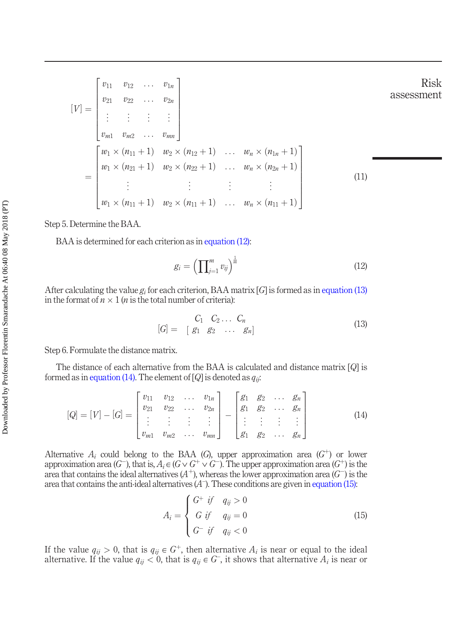$$
[V] = \begin{bmatrix} v_{11} & v_{12} & \dots & v_{1n} \\ v_{21} & v_{22} & \dots & v_{2n} \\ \vdots & \vdots & \vdots & \vdots \\ v_{m1} & v_{m2} & \dots & v_{mn} \end{bmatrix}
$$
  
= 
$$
\begin{bmatrix} w_1 \times (n_{11} + 1) & w_2 \times (n_{12} + 1) & \dots & w_n \times (n_{1n} + 1) \\ w_1 \times (n_{21} + 1) & w_2 \times (n_{22} + 1) & \dots & w_n \times (n_{2n} + 1) \\ \vdots & \vdots & \vdots & \vdots \\ w_1 \times (n_{11} + 1) & w_2 \times (n_{11} + 1) & \dots & w_n \times (n_{11} + 1) \end{bmatrix}
$$
(11)

Step 5. Determine the BAA.

BAA is determined for each criterion as in equation (12):

$$
g_i = \left(\prod_{j=1}^m v_{ij}\right)^{\frac{1}{m}}\tag{12}
$$

Risk

assessment

After calculating the value  $g_i$  for each criterion, BAA matrix [G] is formed as in equation (13) in the format of  $n \times 1$  (*n* is the total number of criteria):

$$
[G] = \begin{bmatrix} C_1 & C_2 & \dots & C_n \\ g_1 & g_2 & \dots & g_n \end{bmatrix}
$$
 (13)

Step 6. Formulate the distance matrix.

The distance of each alternative from the BAA is calculated and distance matrix [Q] is formed as in equation (14). The element of [Q] is denoted as  $q_{ij}$ :

$$
[Q] = [V] - [G] = \begin{bmatrix} v_{11} & v_{12} & \dots & v_{1n} \\ v_{21} & v_{22} & \dots & v_{2n} \\ \vdots & \vdots & \vdots & \vdots \\ v_{m1} & v_{m2} & \dots & v_{mn} \end{bmatrix} - \begin{bmatrix} g_1 & g_2 & \dots & g_n \\ g_1 & g_2 & \dots & g_n \\ \vdots & \vdots & \vdots & \vdots \\ g_1 & g_2 & \dots & g_n \end{bmatrix}
$$
(14)

Alternative  $A_i$  could belong to the BAA (G), upper approximation area ( $G^+$ ) or lower approximation area (G  $^-,$  that is,  $A_i\in (G\vee G^+\vee G^-).$  The upper approximation area ( $G^+$ ) is the area that contains the ideal alternatives ( $A^+$ ), whereas the lower approximation area ( $G^-$ ) is the area that contains the anti-ideal alternatives  $(A^-)$ . These conditions are given in equation (15):

$$
A_{i} = \begin{cases} G^{+} \; if & q_{ij} > 0 \\ G \; if & q_{ij} = 0 \\ G^{-} \; if & q_{ij} < 0 \end{cases}
$$
 (15)

If the value  $q_{ij} > 0$ , that is  $q_{ij} \in G^+$ , then alternative  $A_i$  is near or equal to the ideal alternative. If the value  $q_{ij} < 0$ , that is  $q_{ij} \in G$ , it shows that alternative  $A_i$  is near or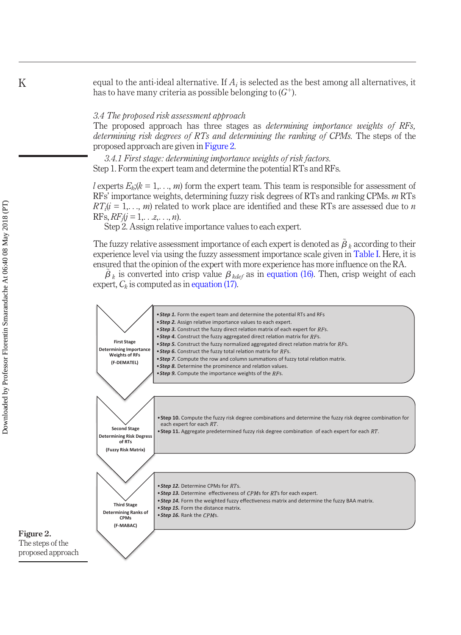<span id="page-10-1"></span>equal to the anti-ideal alternative. If  $A_i$  is selected as the best among all alternatives, it has to have many criteria as possible belonging to  $(G<sup>+</sup>)$ .

#### 3.4 The proposed risk assessment approach

The proposed approach has three stages as *determining importance weights of RFs*, determining risk degrees of RTs and determining the ranking of CPMs. The steps of the proposed approach are given in [Figure 2.](#page-10-0)

3.4.1 First stage: determining importance weights of risk factors. Step 1. Form the expert team and determine the potential RTs and RFs.

l experts  $E_k(k = 1, \ldots, m)$  form the expert team. This team is responsible for assessment of RFs' importance weights, determining fuzzy risk degrees of RTs and ranking CPMs. m RTs  $RT_i(i = 1, \ldots, m)$  related to work place are identified and these RTs are assessed due to n RFs,  $RF_i$  $(j = 1, \ldots z, \ldots, n)$ .

Step 2. Assign relative importance values to each expert.

The fuzzy relative assessment importance of each expert is denoted as  $\tilde{\beta}_k$  according to their experience level via using the fuzzy assessment importance scale given in [Table I](#page-11-0). Here, it is ensured that the opinion of the expert with more experience has more influence on the RA.

 $\tilde{\beta}_k$  is converted into crisp value  $\beta_{kdef}$  as in equation (16). Then, crisp weight of each expert,  $C_k$  is computed as in [equation \(17\)](#page-11-1).



<span id="page-10-0"></span>Figure 2. The steps of the proposed approach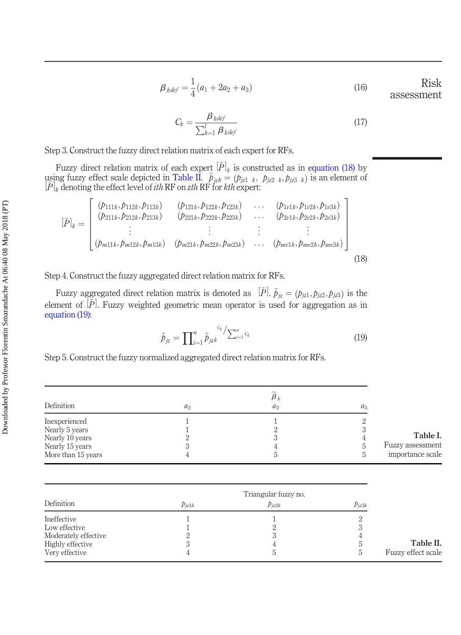$$
\beta_{\text{kdef}} = \frac{1}{4}(a_1 + 2a_2 + a_3) \tag{16}
$$

$$
C_k = \frac{\beta_{kdef}}{\sum_{k=1}^{l} \beta_{kdef}} \tag{17}
$$

<span id="page-11-1"></span>Step 3. Construct the fuzzy direct relation matrix of each expert for RFs.

Fuzzy direct relation matrix of each expert  $[\tilde{P}]_k$  is constructed as in equation (18) by using fuzzy effect scale depicted in [Table II](#page-11-2).  $\tilde{p}_{jzk} = (p_{j21} \, k, \, p_{j22} \, k, p_{j23} \, k)$  is an element of  $[\tilde{P}]_k$  denoting the effect level of *ith* RF on *zth* RF for *kth* expert:

$$
\left[\tilde{P}\right]_{k} = \begin{bmatrix}\n(p_{111k}, p_{112k}, p_{113k}) & (p_{121k}, p_{122k}, p_{123k}) & \dots & (p_{1v1k}, p_{1v2k}, p_{1v3k}) \\
(p_{211k}, p_{212k}, p_{213k}) & (p_{221k}, p_{222k}, p_{223k}) & \dots & (p_{2v1k}, p_{2v2k}, p_{2v3k}) \\
\vdots & \vdots & \vdots & \vdots \\
(p_{m11k}, p_{m12k}, p_{m13k}) & (p_{m21k}, p_{m22k}, p_{m23k}) & \dots & (p_{mv1k}, p_{mv2k}, p_{mv3k})\n\end{bmatrix}
$$
\n(18)

Step 4. Construct the fuzzy aggregated direct relation matrix for RFs.

Fuzzy aggregated direct relation matrix is denoted as  $[\tilde{P}$ .  $\tilde{p}_{iz} = (p_{jz1}, p_{jz2}, p_{jz3})$  is the element of  $[\tilde{P}]$ . Fuzzy weighted geometric mean operator is used for aggregation as in equation (19):

<span id="page-11-2"></span><span id="page-11-0"></span>
$$
\tilde{p}_{jz} = \prod_{i=1}^{n} \tilde{p}_{jzk}^{c_k / \sum_{j=1}^{n} c_k}
$$
\n(19)

Step 5. Construct the fuzzy normalized aggregated direct relation matrix for RFs.

|                    |                | $\beta_k$      |       |                  |
|--------------------|----------------|----------------|-------|------------------|
| Definition         | a <sub>2</sub> | a <sub>2</sub> | $a_3$ |                  |
| Inexperienced      |                |                |       |                  |
| Nearly 5 years     |                |                |       |                  |
| Nearly 10 years    |                |                |       | Table I.         |
| Nearly 15 years    |                |                |       | Fuzzy assessment |
| More than 15 years |                |                |       | importance scale |

|                      |            | Triangular fuzzy no. |            |                    |
|----------------------|------------|----------------------|------------|--------------------|
| Definition           | $p_{iz1k}$ | $p_{iz2k}$           | $p_{iz3k}$ |                    |
| Ineffective          |            |                      |            |                    |
| Low effective        |            |                      |            |                    |
| Moderately effective |            |                      |            |                    |
| Highly effective     |            |                      |            | Table II.          |
| Very effective       |            |                      |            | Fuzzy effect scale |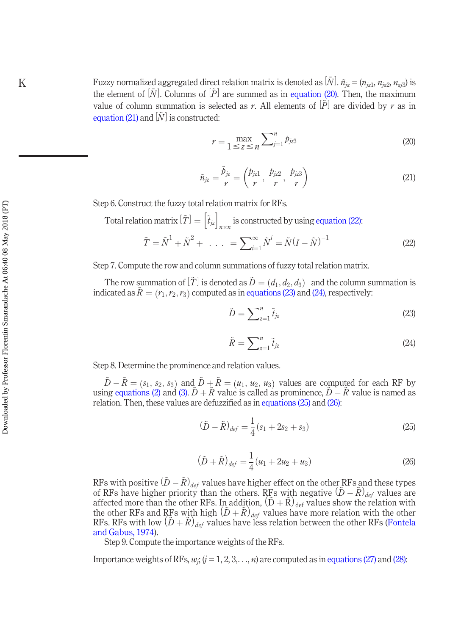<span id="page-12-0"></span>Fuzzy normalized aggregated direct relation matrix is denoted as  $[\tilde{N}]$ .  $\tilde{n}_{iz} = (n_{iz1}, n_{iz2}, n_{zi3})$  is the element of  $[\tilde{N}]$ . Columns of  $[\tilde{P}]$  are summed as in equation (20). Then, the maximum value of column summation is selected as r. All elements of  $[\tilde{P}]$  are divided by r as in equation (21) and  $[\tilde{N}]$  is constructed:

$$
r = \max_{1 \le z \le n} \sum_{j=1}^{n} p_{jz3}
$$
 (20)

$$
\tilde{n}_{jz} = \frac{\tilde{p}_{jz}}{r} = \left(\frac{p_{jz1}}{r}, \frac{p_{jz2}}{r}, \frac{p_{jz3}}{r}\right)
$$
\n(21)

Step 6. Construct the fuzzy total relation matrix for RFs.

Total relation matrix  $[\tilde{T}] = \left[\tilde{t}_{jz}\right]_{n \times n}$  is constructed by using equation (22):  $\tilde{T} = \tilde{N}^1 + \tilde{N}^2 + \dots$   $= \sum_{i=1}^{\infty} \tilde{N}^i = \tilde{N} (I - \tilde{N})$  $1$  (22)

Step 7. Compute the row and column summations of fuzzy total relation matrix.

The row summation of  $|T|$  is denoted as  $D = (d_1, d_2, d_3)$  and the column summation is indicated as  $\hat{R} = (r_1, r_2, r_3)$  computed as in equations (23) and (24), respectively:

$$
\tilde{D} = \sum_{z=1}^{n} \tilde{t}_{jz} \tag{23}
$$

$$
\tilde{R} = \sum_{z=1}^{n} \tilde{t}_{jz} \tag{24}
$$

Step 8. Determine the prominence and relation values.

 $\tilde{D}-\tilde{R}=(s_1, s_2, s_3)$  and  $\tilde{D}+\tilde{R}=(u_1, u_2, u_3)$  values are computed for each RF by using [equations \(2\)](#page-7-0) and [\(3\).](#page-7-0)  $\tilde{D} + \tilde{R}$  value is called as prominence,  $\tilde{D} - \tilde{R}$  value is named as relation. Then, these values are defuzzified as in equations (25) and (26):

$$
(\tilde{D} - \tilde{R})_{def} = \frac{1}{4}(s_1 + 2s_2 + s_3)
$$
\n(25)

$$
\left(\tilde{D} + \tilde{R}\right)_{def} = \frac{1}{4} (u_1 + 2u_2 + u_3)
$$
\n(26)

RFs with positive  $(\tilde{D}-\tilde{R})_{def}$  values have higher effect on the other RFs and these types of RFs have higher priority than the others. RFs with negative  $(\tilde{D} - \tilde{R})_{def}$  values are affected more than the other RFs. In addition,  $(\tilde{D} + \tilde{R})_{def}$  values show the relation with the other RFs and RFs with high  $(\tilde{D} + \tilde{R})_{def}$  values have more relation with the other RFs. RFs with low  $(\tilde{D} + \tilde{R})_{def}$  values have less relation between the other RFs ([Fontela](#page-27-0) [and Gabus, 1974\)](#page-27-0).

Step 9. Compute the importance weights of the RFs.

Importance weights of RFs,  $w_i$ ;  $(j = 1, 2, 3, \ldots, n)$  are computed as in equations (27) and [\(28\)](#page-13-0):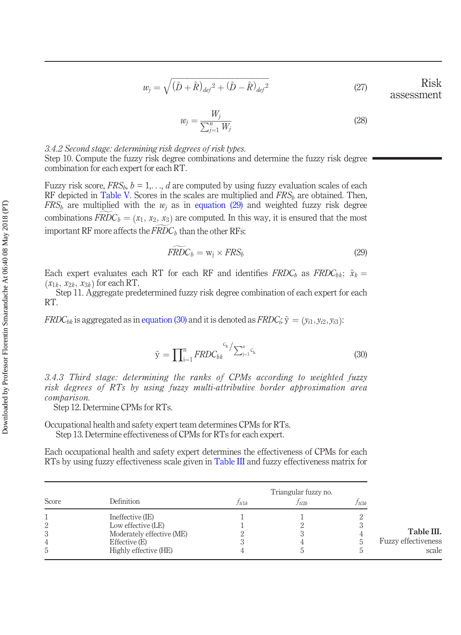$$
w_j = \sqrt{(\tilde{D} + \tilde{R})_{def}^2 + (\tilde{D} - \tilde{R})_{def}^2}
$$
 Risk  
assessment

$$
w_j = \frac{W_j}{\sum_{j=1}^n W_j}
$$
 (28)

#### <span id="page-13-0"></span>3.4.2 Second stage: determining risk degrees of risk types.

Step 10. Compute the fuzzy risk degree combinations and determine the fuzzy risk degree combination for each expert for each RT.

Fuzzy risk score,  $FRS_b$ ,  $b = 1, \ldots, d$  are computed by using fuzzy evaluation scales of each RF depicted in [Table V.](#page-17-0) Scores in the scales are multiplied and  $FRS_b$  are obtained. Then,  $FRS_b$  are multiplied with the  $w_i$  as in equation (29) and weighted fuzzy risk degree combinations  $FRDC_b = (x_1, x_2, x_3)$  are computed. In this way, it is ensured that the most important RF more affects the  $FRDC<sub>b</sub>$  than the other RFs:

$$
FRDC_b = w_j \times FRS_b \tag{29}
$$

Each expert evaluates each RT for each RF and identifies  $FRDC_b$  as  $FRDC_{bk}$ ;  $\tilde{x}_k =$  $(x_{1k}, x_{2k}, x_{3k})$  for each RT.

Step 11. Aggregate predetermined fuzzy risk degree combination of each expert for each RT.

 $FRDC_{bk}$  is aggregated as in equation (30) and it is denoted as  $FRDC_i$ ;  $\tilde{y} = (y_{i1}, y_{i2}, y_{i3})$ :

<span id="page-13-1"></span>
$$
\tilde{\mathbf{y}} = \prod_{i=1}^{n} FRDC_{bk}^{c_k} / \sum_{j=1}^{n} c_k
$$
\n(30)

3.4.3 Third stage: determining the ranks of CPMs according to weighted fuzzy risk degrees of RTs by using fuzzy multi-attributive border approximation area comparison.

Step 12. Determine CPMs for RTs.

Occupational health and safety expert team determines CPMs for RTs. Step 13. Determine effectiveness of CPMs for RTs for each expert.

Each occupational health and safety expert determines the effectiveness of CPMs for each RTs by using fuzzy effectiveness scale given in [Table III](#page-13-1) and fuzzy effectiveness matrix for

|       |                           | Triangular fuzzy no. |        |        |                            |
|-------|---------------------------|----------------------|--------|--------|----------------------------|
| Score | Definition                | l ti 1 k             | J ti2k | J ti3k |                            |
|       | Ineffective (IE)          |                      |        |        |                            |
| 2     | Low effective (LE)        |                      |        |        |                            |
| 3     | Moderately effective (ME) |                      |        |        | Table III.                 |
|       | Effective (E)             |                      |        |        | <b>Fuzzy effectiveness</b> |
| 5     | Highly effective (HE)     |                      |        |        | scale                      |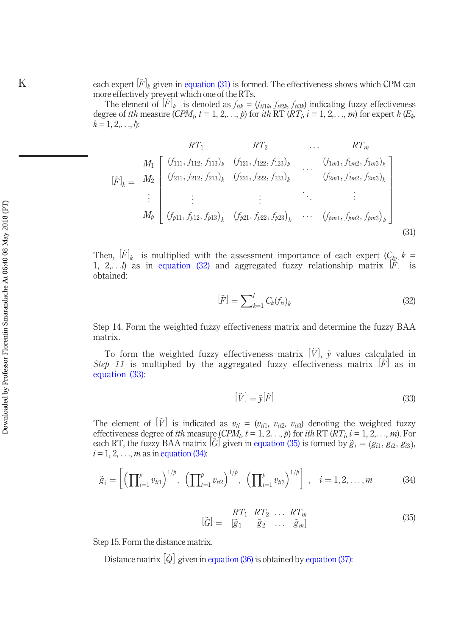<span id="page-14-0"></span>each expert  $[\tilde{F}]_k$  given in equation (31) is formed. The effectiveness shows which CPM can more effectively prevent which one of the RTs.

The element of  $|F|_k$  is denoted as  $f_{tik} = (f_{tik}, f_{tik}, f_{tik})$  indicating fuzzy effectiveness degree of tth measure  $(CPM_t, t = 1, 2, \ldots, p)$  for ith RT  $(RT_i, i = 1, 2, \ldots, m)$  for expert k  $(E_k,$  $k = 1, 2, \ldots, l$ :

RT<sub>1</sub> RT<sub>2</sub> ... RT<sub>m</sub>  
\n
$$
M_1 \begin{bmatrix} (f_{111}, f_{112}, f_{113})_k & (f_{121}, f_{122}, f_{123})_k & \dots & (f_{1m1}, f_{1m2}, f_{1m3})_k \\ (f_{211}, f_{212}, f_{213})_k & (f_{221}, f_{222}, f_{223})_k & \dots & (f_{2m1}, f_{2m2}, f_{2m3})_k \\ \vdots & \vdots & \vdots & \ddots & \vdots \\ M_p \end{bmatrix}
$$
\n
$$
(f_{p11}, f_{p12}, f_{p13})_k \quad (f_{p21}, f_{p22}, f_{p23})_k \cdots \quad (f_{pm1}, f_{pm2}, f_{pm3})_k
$$
\n(31)

Then,  $[\tilde{F}]_k$  is multiplied with the assessment importance of each expert  $(C_k, k =$ 1, 2,... $\ell$ ) as in equation (32) and aggregated fuzzy relationship matrix  $\begin{bmatrix} \tilde{F} \end{bmatrix}$  is obtained:

$$
\left[\tilde{F}\right] = \sum_{k=1}^{l} C_k \left(f_{ij}\right)_k \tag{32}
$$

Step 14. Form the weighted fuzzy effectiveness matrix and determine the fuzzy BAA matrix.

To form the weighted fuzzy effectiveness matrix  $|\tilde{V}|$ ,  $\tilde{y}$  values calculated in Step 11 is multiplied by the aggregated fuzzy effectiveness matrix  $|F|$  as in equation (33):

$$
[\tilde{V}] = \tilde{y}[\tilde{F}] \tag{33}
$$

The element of  $[\tilde{V}]$  is indicated as  $v_{ti} = (v_{ti1}, v_{ti2}, v_{ti3})$  denoting the weighted fuzzy effectiveness degree of tth measure  $(CPM_t, t = 1, 2, \ldots, p)$  for ith RT  $(RT_i, i = 1, 2, \ldots, m)$ . For each RT, the fuzzy BAA matrix  $|\tilde{G}|$  given in equation (35) is formed by  $\tilde{g}_i = (g_{i1}, g_{i2}, g_{i3})$ ,  $i = 1, 2, ..., m$  as in equation (34):

$$
\tilde{g}_i = \left[ \left( \prod_{t=1}^p v_{ti1} \right)^{1/p}, \left( \prod_{t=1}^p v_{ti2} \right)^{1/p}, \left( \prod_{t=1}^p v_{ti3} \right)^{1/p} \right], \quad i = 1, 2, \dots, m \tag{34}
$$

$$
[G] = \begin{bmatrix} RT_1 & RT_2 & \dots & RT_m \\ \tilde{g}_1 & \tilde{g}_2 & \dots & \tilde{g}_m \end{bmatrix}
$$
 (35)

Step 15. Form the distance matrix.

Distance matrix  $\left[\tilde{Q}\right]$  given in equation (36) is obtained by [equation \(37\):](#page-15-0)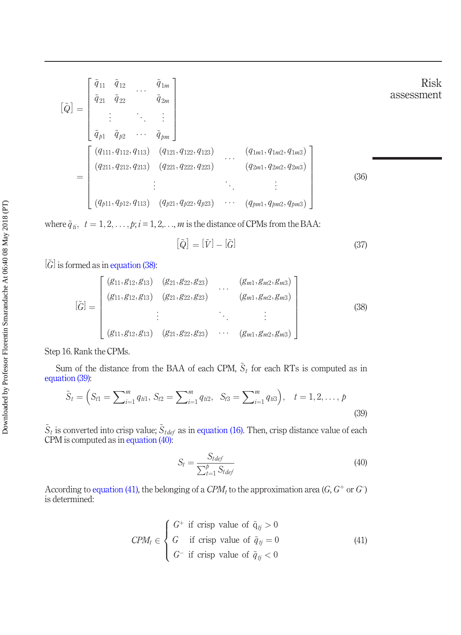<span id="page-15-0"></span>
$$
\begin{bmatrix}\n\tilde{Q} \\
\tilde{q} \\
\tilde{q}_1 & \tilde{q}_2 & \tilde{q}_2 \\
\vdots & \ddots & \vdots \\
\tilde{q}_{p1} & \tilde{q}_{p2} & \cdots & \tilde{q}_{pm}\n\end{bmatrix}
$$
\n
$$
= \begin{bmatrix}\n(q_{111}, q_{112}, q_{113}) & (q_{121}, q_{122}, q_{123}) & (q_{1m1}, q_{1m2}, q_{1m3}) \\
(q_{211}, q_{212}, q_{213}) & (q_{221}, q_{222}, q_{223}) & (q_{2m1}, q_{2m2}, q_{2m3}) \\
\vdots & \ddots & \vdots \\
(q_{p11}, q_{p12}, q_{113}) & (q_{p21}, q_{p22}, q_{p23}) & \cdots & (q_{pm1}, q_{pm2}, q_{pm3})\n\end{bmatrix}
$$
\n(36)

where  $\tilde{q}_{ti}$ ,  $t = 1, 2, \ldots, p; i = 1, 2, \ldots, m$  is the distance of CPMs from the BAA:

$$
\left[\tilde{Q}\right] = \left[\tilde{V}\right] - \left[\tilde{G}\right] \tag{37}
$$

Risk

 $[\tilde{G}]$  is formed as in equation (38):

$$
[\tilde{G}] = \begin{bmatrix} (g_{11}, g_{12}, g_{13}) & (g_{21}, g_{22}, g_{23}) & \dots & (g_{m1}, g_{m2}, g_{m3}) \\ (g_{11}, g_{12}, g_{13}) & (g_{21}, g_{22}, g_{23}) & (g_{m1}, g_{m2}, g_{m3}) \\ \vdots & \vdots & \ddots & \vdots \\ (g_{11}, g_{12}, g_{13}) & (g_{21}, g_{22}, g_{23}) & \dots & (g_{m1}, g_{m2}, g_{m3}) \end{bmatrix}
$$
(38)

Step 16. Rank the CPMs.

Sum of the distance from the BAA of each CPM,  $\tilde{S}_t$  for each RTs is computed as in equation (39):

$$
\tilde{S}_t = \left(S_{t1} = \sum_{i=1}^m q_{i1}, S_{t2} = \sum_{i=1}^m q_{i2}, S_{t3} = \sum_{i=1}^m q_{i3}\right), t = 1, 2, \dots, p
$$
\n(39)

 $\tilde{S}_t$  is converted into crisp value;  $\tilde{S}_{tdef}$  as in [equation \(16\).](#page-10-1) Then, crisp distance value of each CPM is computed as in equation (40):

$$
S_t = \frac{S_{tdef}}{\sum_{t=1}^{p} S_{tdef}} \tag{40}
$$

According to equation (41), the belonging of a  $\mathbb{C}PM_t$  to the approximation area  $(G, G^+$  or  $G^+$ is determined:

$$
CPM_t \in \begin{cases} G^+ \text{ if crisp value of } \tilde{q}_{tj} > 0 \\ G & \text{ if crisp value of } \tilde{q}_{tj} = 0 \\ G^- \text{ if crisp value of } \tilde{q}_{tj} < 0 \end{cases}
$$
(41)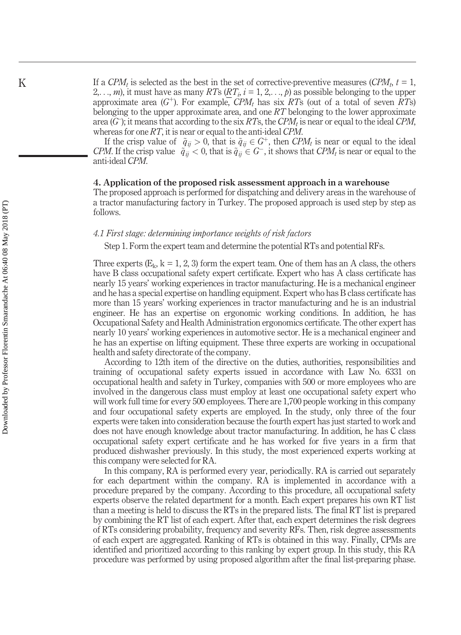If a CPM<sub>t</sub> is selected as the best in the set of corrective-preventive measures (CPM<sub>t</sub>,  $t = 1$ , 2,..., *m*), it must have as many *RT*s (*RT*<sub>*i*</sub>, *i* = 1, 2,..., *p*) as possible belonging to the upper approximate area  $(G<sup>+</sup>)$ . For example,  $CPM_t$  has six RTs (out of a total of seven RTs) belonging to the upper approximate area, and one  $RT$  belonging to the lower approximate area (G<sup>-</sup>); it means that according to the six RTs, the CPM<sub>t</sub> is near or equal to the ideal CPM, whereas for one  $RT$ , it is near or equal to the anti-ideal  $CPM$ .

If the crisp value of  $\tilde{q}_{ij} > 0$ , that is  $\tilde{q}_{ij} \in G^+$ , then  $CPM_t$  is near or equal to the ideal *CPM*. If the crisp value  $\tilde{q}_{ij} < 0$ , that is  $\tilde{q}_{ij} \in G^-$ , it shows that  $CPM_t$  is near or equal to the anti-ideal CPM.

#### 4. Application of the proposed risk assessment approach in a warehouse

The proposed approach is performed for dispatching and delivery areas in the warehouse of a tractor manufacturing factory in Turkey. The proposed approach is used step by step as follows.

#### 4.1 First stage: determining importance weights of risk factors

Step 1. Form the expert team and determine the potential RTs and potential RFs.

Three experts  $(E_k, k = 1, 2, 3)$  form the expert team. One of them has an A class, the others have B class occupational safety expert certificate. Expert who has A class certificate has nearly 15 years' working experiences in tractor manufacturing. He is a mechanical engineer and he has a special expertise on handling equipment. Expert who has B class certificate has more than 15 years' working experiences in tractor manufacturing and he is an industrial engineer. He has an expertise on ergonomic working conditions. In addition, he has Occupational Safety and Health Administration ergonomics certificate. The other expert has nearly 10 years' working experiences in automotive sector. He is a mechanical engineer and he has an expertise on lifting equipment. These three experts are working in occupational health and safety directorate of the company.

According to 12th item of the directive on the duties, authorities, responsibilities and training of occupational safety experts issued in accordance with Law No. 6331 on occupational health and safety in Turkey, companies with 500 or more employees who are involved in the dangerous class must employ at least one occupational safety expert who will work full time for every 500 employees. There are 1,700 people working in this company and four occupational safety experts are employed. In the study, only three of the four experts were taken into consideration because the fourth expert has just started to work and does not have enough knowledge about tractor manufacturing. In addition, he has C class occupational safety expert certificate and he has worked for five years in a firm that produced dishwasher previously. In this study, the most experienced experts working at this company were selected for RA.

In this company, RA is performed every year, periodically. RA is carried out separately for each department within the company. RA is implemented in accordance with a procedure prepared by the company. According to this procedure, all occupational safety experts observe the related department for a month. Each expert prepares his own RT list than a meeting is held to discuss the RTs in the prepared lists. The final RT list is prepared by combining the RT list of each expert. After that, each expert determines the risk degrees of RTs considering probability, frequency and severity RFs. Then, risk degree assessments of each expert are aggregated. Ranking of RTs is obtained in this way. Finally, CPMs are identified and prioritized according to this ranking by expert group. In this study, this RA procedure was performed by using proposed algorithm after the final list-preparing phase.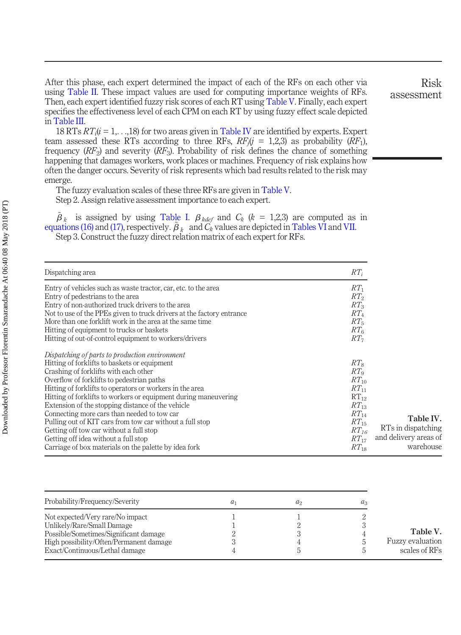After this phase, each expert determined the impact of each of the RFs on each other via using [Table II](#page-11-2). These impact values are used for computing importance weights of RFs. Then, each expert identified fuzzy risk scores of each RT using [Table V](#page-17-0). Finally, each expert specifies the effectiveness level of each CPM on each RT by using fuzzy effect scale depicted in [Table III.](#page-13-1)

18 RTs  $RT_i(i = 1, \ldots, 18)$  for two areas given in [Table IV](#page-17-1) are identified by experts. Expert team assessed these RTs according to three RFs,  $RF<sub>i</sub>(j = 1,2,3)$  as probability  $(RF<sub>1</sub>)$ , frequency  $(RF_2)$  and severity  $(RF_3)$ . Probability of risk defines the chance of something happening that damages workers, work places or machines. Frequency of risk explains how often the danger occurs. Severity of risk represents which bad results related to the risk may emerge.

The fuzzy evaluation scales of these three RFs are given in [Table V](#page-17-0).

Step 2. Assign relative assessment importance to each expert.

 $\beta_k$  is assigned by using [Table I](#page-11-0).  $\beta_{kdef}$  and  $C_k$  (k = 1,2,3) are computed as in [equations \(16\)](#page-10-1) and [\(17\),](#page-11-1) respectively.  $\overline{\beta}_k$  and  $C_k$  values are depicted in [Tables VI](#page-18-0) and [VII.](#page-18-1) Step 3. Construct the fuzzy direct relation matrix of each expert for RFs.

| Dispatching area                                                      | $RT_i$          |                       |
|-----------------------------------------------------------------------|-----------------|-----------------------|
| Entry of vehicles such as waste tractor, car, etc. to the area        | $RT_1$          |                       |
| Entry of pedestrians to the area                                      | RT <sub>2</sub> |                       |
| Entry of non-authorized truck drivers to the area                     | $RT_3$          |                       |
| Not to use of the PPEs given to truck drivers at the factory entrance | $RT_4$          |                       |
| More than one forklift work in the area at the same time              | $RT_5$          |                       |
| Hitting of equipment to trucks or baskets                             | RT <sub>6</sub> |                       |
| Hitting of out-of-control equipment to workers/drivers                | RT <sub>7</sub> |                       |
| Dispatching of parts to production environment                        |                 |                       |
| Hitting of forklifts to baskets or equipment                          | $RT_{8}$        |                       |
| Crashing of forklifts with each other                                 | $RT_{\rm o}$    |                       |
| Overflow of forklifts to pedestrian paths                             | $RT_{10}$       |                       |
| Hitting of forklifts to operators or workers in the area              | $RT_{11}$       |                       |
| Hitting of forklifts to workers or equipment during maneuvering       | $RT_{12}$       |                       |
| Extension of the stopping distance of the vehicle                     | $RT_{13}$       |                       |
| Connecting more cars than needed to tow car                           | $RT_{14}$       |                       |
| Pulling out of KIT cars from tow car without a full stop              | $RT_{15}$       | Table IV.             |
| Getting off tow car without a full stop                               | $RT_{16}$       | RTs in dispatching    |
| Getting off idea without a full stop                                  | $RT_{17}$       | and delivery areas of |
| Carriage of box materials on the palette by idea fork                 | $RT_{18}$       | warehouse             |

<span id="page-17-1"></span><span id="page-17-0"></span>

| Probability/Frequency/Severity                                                   | u | $a_2$ | $a_3$ |                              |
|----------------------------------------------------------------------------------|---|-------|-------|------------------------------|
| Not expected/Very rare/No impact<br>Unlikely/Rare/Small Damage                   |   |       |       |                              |
| Possible/Sometimes/Significant damage<br>High possibility/Often/Permanent damage |   |       |       | Table V.<br>Fuzzy evaluation |
| Exact/Continuous/Lethal damage                                                   |   |       |       | scales of RFs                |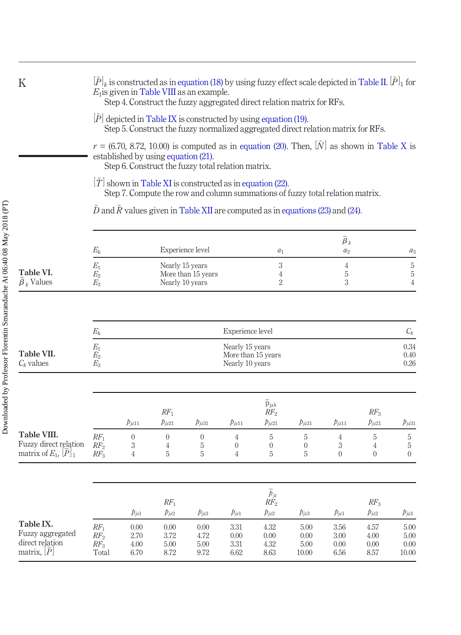<span id="page-18-3"></span><span id="page-18-2"></span><span id="page-18-1"></span><span id="page-18-0"></span>

| K                                                                                    | $ \tilde{P} _k$ is constructed as in equation (18) by using fuzzy effect scale depicted in Table II. $[\tilde{P}]_1$ for<br>$E_1$ is given in Table VIII as an example.<br>Step 4. Construct the fuzzy aggregated direct relation matrix for RFs. |                                                                                                                                                                                |                                           |                                                                                                                                                             |                                           |                                           |                                            |                                                      |                                      |                                              |  |  |
|--------------------------------------------------------------------------------------|---------------------------------------------------------------------------------------------------------------------------------------------------------------------------------------------------------------------------------------------------|--------------------------------------------------------------------------------------------------------------------------------------------------------------------------------|-------------------------------------------|-------------------------------------------------------------------------------------------------------------------------------------------------------------|-------------------------------------------|-------------------------------------------|--------------------------------------------|------------------------------------------------------|--------------------------------------|----------------------------------------------|--|--|
|                                                                                      |                                                                                                                                                                                                                                                   | $\left  \overline{P} \right $ depicted in Table IX is constructed by using equation (19).<br>Step 5. Construct the fuzzy normalized aggregated direct relation matrix for RFs. |                                           |                                                                                                                                                             |                                           |                                           |                                            |                                                      |                                      |                                              |  |  |
|                                                                                      |                                                                                                                                                                                                                                                   | established by using equation (21).                                                                                                                                            |                                           | $r = (6.70, 8.72, 10.00)$ is computed as in equation (20). Then, $[\tilde{N}]$ as shown in Table X is<br>Step 6. Construct the fuzzy total relation matrix. |                                           |                                           |                                            |                                                      |                                      |                                              |  |  |
|                                                                                      |                                                                                                                                                                                                                                                   |                                                                                                                                                                                |                                           | $ \tilde{T} $ shown in Table XI is constructed as in equation (22).<br>Step 7. Compute the row and column summations of fuzzy total relation matrix.        |                                           |                                           |                                            |                                                      |                                      |                                              |  |  |
|                                                                                      |                                                                                                                                                                                                                                                   |                                                                                                                                                                                |                                           | $\tilde{D}$ and $\tilde{R}$ values given in Table XII are computed as in equations (23) and (24).                                                           |                                           |                                           |                                            |                                                      |                                      |                                              |  |  |
|                                                                                      | $E_{\rm k}$                                                                                                                                                                                                                                       |                                                                                                                                                                                | Experience level                          |                                                                                                                                                             |                                           | $a_1$                                     |                                            | $\widetilde{\boldsymbol{\beta}}_k$<br>a <sub>2</sub> |                                      | $a_3$                                        |  |  |
| Table VI.<br>$\widetilde{\beta}_k$ Values                                            | $E_1$<br>E <sub>2</sub><br>$E_3$                                                                                                                                                                                                                  |                                                                                                                                                                                | Nearly 15 years<br>Nearly 10 years        | More than 15 years                                                                                                                                          |                                           | $\,3$<br>$\overline{4}$<br>$\,2$          |                                            | $\,4\,$<br>5<br>3                                    |                                      | $\mathbf 5$<br>$\mathbf 5$<br>$\overline{4}$ |  |  |
|                                                                                      |                                                                                                                                                                                                                                                   |                                                                                                                                                                                |                                           |                                                                                                                                                             |                                           |                                           |                                            |                                                      |                                      |                                              |  |  |
|                                                                                      | $E_{\rm k}$<br>Experience level<br>$\mathcal{C}_k$                                                                                                                                                                                                |                                                                                                                                                                                |                                           |                                                                                                                                                             |                                           |                                           |                                            |                                                      |                                      |                                              |  |  |
| Table VII.<br>$C_k$ values                                                           | $E_1$<br>E <sub>2</sub><br>$\overline{E_3}$                                                                                                                                                                                                       |                                                                                                                                                                                |                                           |                                                                                                                                                             | Nearly 15 years<br>Nearly 10 years        | More than 15 years                        |                                            |                                                      |                                      | 0.34<br>0.40<br>0.26                         |  |  |
|                                                                                      |                                                                                                                                                                                                                                                   |                                                                                                                                                                                | $RF_1$                                    |                                                                                                                                                             |                                           | $\widetilde{p}_{jzk}$<br>$RF_2$           |                                            |                                                      | $RF_3$                               |                                              |  |  |
|                                                                                      |                                                                                                                                                                                                                                                   | $p_{jz11}$                                                                                                                                                                     | $p_{jz21}$                                | $p_{jz31}$                                                                                                                                                  | $p_{jz11}$                                | $p_{jz21}$                                | $p_{jz31}$                                 | $p_{jz11}$                                           | $p_{jz21}$                           | $p_{jz31}$                                   |  |  |
| Table VIII.<br>Fuzzy direct relation<br>matrix of $E_1$ , $\left[\tilde{P}\right]_1$ | $RF_1$<br>$RF_2$<br>$RF_3$                                                                                                                                                                                                                        | $\boldsymbol{0}$<br>3<br>4                                                                                                                                                     | $\mathbf{0}$<br>4<br>5                    | $\boldsymbol{0}$<br>5<br>5                                                                                                                                  | 4<br>$\boldsymbol{0}$<br>$\overline{4}$   | 5<br>$\boldsymbol{0}$<br>5                | 5<br>0<br>5                                | 4<br>3<br>$\mathbf{0}$                               | 5<br>4<br>$\overline{0}$             | $\mathbf 5$<br>5<br>$\overline{0}$           |  |  |
|                                                                                      |                                                                                                                                                                                                                                                   |                                                                                                                                                                                | $RF_1$                                    |                                                                                                                                                             |                                           | $\widetilde{p}_{jz}$<br>$RF_2$            |                                            |                                                      | $RF_3$                               |                                              |  |  |
| Table IX.<br>Fuzzy aggregated<br>direct relation<br>matrix, $\left[\tilde{P}\right]$ | $RF_1$<br>RF <sub>2</sub><br>$RF_3$<br>Total                                                                                                                                                                                                      | $p_{jz1}$<br>0.00<br>2.70<br>4.00<br>6.70                                                                                                                                      | $p_{jz2}$<br>0.00<br>3.72<br>5.00<br>8.72 | $p_{jz3}$<br>0.00<br>4.72<br>5.00<br>9.72                                                                                                                   | $p_{jz1}$<br>3.31<br>0.00<br>3.31<br>6.62 | $p_{jz2}$<br>4.32<br>0.00<br>4.32<br>8.63 | $p_{jz3}$<br>5.00<br>0.00<br>5.00<br>10.00 | $p_{jz1}$<br>3.56<br>3.00<br>0.00<br>6.56            | Pjz2<br>4.57<br>4.00<br>0.00<br>8.57 | $p_{jz3}$<br>5.00<br>5.00<br>0.00<br>10.00   |  |  |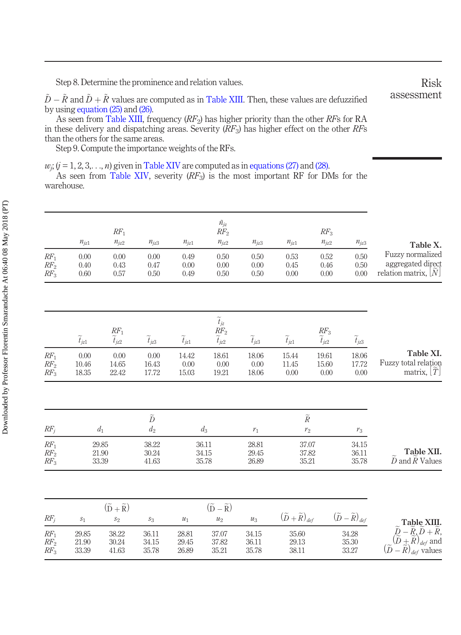Step 8. Determine the prominence and relation values.

 $\tilde{D}-\tilde{R}$  and  $\tilde{D}+\tilde{R}$  values are computed as in [Table XIII](#page-19-3). Then, these values are defuzzified by using [equation \(25\)](#page-12-0) and [\(26\)](#page-12-0).

As seen from [Table XIII,](#page-19-3) frequency  $(RF_2)$  has higher priority than the other RFs for RA in these delivery and dispatching areas. Severity  $(RF_3)$  has higher effect on the other  $RFs$ than the others for the same areas.

Step 9. Compute the importance weights of the RFs.

 $w_i$ ;  $(j = 1, 2, 3, \ldots, n)$  given in [Table XIV](#page-20-0) are computed as in [equations \(27\)](#page-12-0) and [\(28\)](#page-13-0).

As seen from [Table XIV](#page-20-0), severity  $(RF_3)$  is the most important RF for DMs for the warehouse.

|                            |                      | $RF_1$               |                      |                      | $\tilde{n}_{jz}$<br>RF <sub>2</sub> |                      |                      | $RF_3$               |                      |                                                                                      |
|----------------------------|----------------------|----------------------|----------------------|----------------------|-------------------------------------|----------------------|----------------------|----------------------|----------------------|--------------------------------------------------------------------------------------|
|                            | $n_{iz1}$            | $n_{iz2}$            | $n_{iz3}$            | $n_{iz1}$            | $n_{iz2}$                           | $n_{iz3}$            | $n_{iz1}$            | $n_{iz2}$            | $n_{jz3}$            | Table X.                                                                             |
| $RF_1$<br>$RF_2$<br>$RF_3$ | 0.00<br>0.40<br>0.60 | 0.00<br>0.43<br>0.57 | 0.00<br>0.47<br>0.50 | 0.49<br>0.00<br>0.49 | 0.50<br>0.00<br>0.50                | 0.50<br>0.00<br>0.50 | 0.53<br>0.45<br>0.00 | 0.52<br>0.46<br>0.00 | 0.50<br>0.50<br>0.00 | Fuzzy normalized<br>aggregated direct<br>relation matrix, $\left[ \tilde{N} \right]$ |

|                            | $\widetilde{\phantom{m}}$<br>$\iota_{iz1}$ | $RF_1$<br>$\widetilde{\phantom{m}}$<br>$t_{i22}$ | $\widetilde{\phantom{m}}$<br>$t_{jz3}$ | $\widetilde{\phantom{m}}$<br>$\iota_{iz1}$ | $\widetilde{\phantom{m}}$<br>l jz<br>RF <sub>2</sub><br>$t_{jz2}$ | $\widetilde{\phantom{m}}$<br>l iz3 | $\widetilde{\phantom{m}}$<br>$\iota_{iz1}$ | $RF_3$<br>$t_{iz2}$    | $\tilde{\phantom{a}}$<br>$\iota_{jz3}$ |                                                                     |
|----------------------------|--------------------------------------------|--------------------------------------------------|----------------------------------------|--------------------------------------------|-------------------------------------------------------------------|------------------------------------|--------------------------------------------|------------------------|----------------------------------------|---------------------------------------------------------------------|
| $RF_1$<br>$RF_2$<br>$RF_3$ | 0.00<br>10.46<br>18.35                     | 0.00<br>14.65<br>22.42                           | 0.00<br>16.43<br>17.72                 | 14.42<br>0.00<br>15.03                     | 18.61<br>0.00<br>19.21                                            | 18.06<br>0.00<br>18.06             | 15.44<br>11.45<br>0.00                     | 19.61<br>15.60<br>0.00 | 18.06<br>17.72<br>0.00                 | Table XI.<br>Fuzzy total relation<br>$\lfloor T \rfloor$<br>matrix, |

|                            | $\widetilde{\phantom{m}}$ |                         |                         |                         |                         |                         |                                                               |
|----------------------------|---------------------------|-------------------------|-------------------------|-------------------------|-------------------------|-------------------------|---------------------------------------------------------------|
| RF.                        | $a_1$                     | a <sub>2</sub>          | $a_3$                   |                         | $r_{\circ}$             | $r_3$                   |                                                               |
| $RF_1$<br>$RF_2$<br>$RF_3$ | 29.85<br>21.90<br>33.39   | 38.22<br>30.24<br>41.63 | 36.11<br>34.15<br>35.78 | 28.81<br>29.45<br>26.89 | 37.07<br>37.82<br>35.21 | 34.15<br>36.11<br>35.78 | Table XII.<br>$\widetilde{\phantom{m}}$<br>$D$ and $R$ Values |

| $RF_i$                     | S <sub>1</sub>          | $(D+R)$<br>$S_2$        | $S_3$                   | $u_1$                   | $(\widetilde{\mathrm{D}} - \widetilde{\mathrm{R}})$<br>u <sub>2</sub> | $u_3$                   | $(\widetilde{D}+\widetilde{R})_{def}$ | $\left(\widetilde{D}-\widetilde{R}\right)_{def}$ | Table XIII.                                                                                                                  |
|----------------------------|-------------------------|-------------------------|-------------------------|-------------------------|-----------------------------------------------------------------------|-------------------------|---------------------------------------|--------------------------------------------------|------------------------------------------------------------------------------------------------------------------------------|
| $RF_1$<br>$RF_2$<br>$RF_3$ | 29.85<br>21.90<br>33.39 | 38.22<br>30.24<br>41.63 | 36.11<br>34.15<br>35.78 | 28.81<br>29.45<br>26.89 | 37.07<br>37.82<br>35.21                                               | 34.15<br>36.11<br>35.78 | 35.60<br>29.13<br>38.11               | 34.28<br>35.30<br>33.27                          | $\tilde{D} - \tilde{R}$ , $\tilde{D} + \tilde{R}$ ,<br>ಸು<br>$(D \pm R)_{def}$ and<br>$-\widetilde{R}$ <sub>def</sub> values |

assessment

<span id="page-19-3"></span><span id="page-19-2"></span><span id="page-19-1"></span><span id="page-19-0"></span>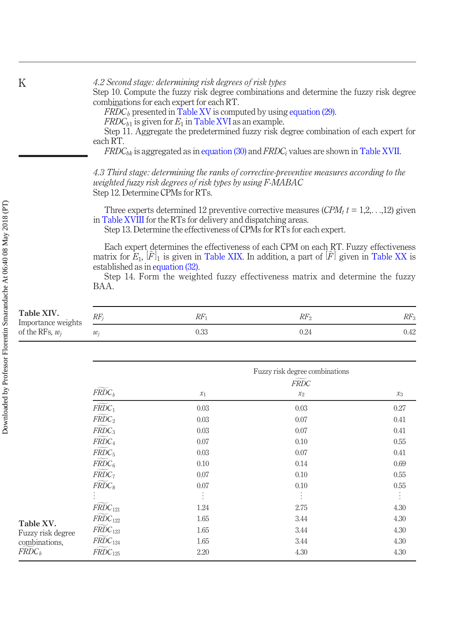4.2 Second stage: determining risk degrees of risk types

Step 10. Compute the fuzzy risk degree combinations and determine the fuzzy risk degree combinations for each expert for each RT.

 $FRDC<sub>b</sub>$  presented in [Table XV](#page-20-1) is computed by using [equation \(29\)](#page-13-0).

 $FRDC_{h1}$  is given for  $E_1$  in [Table XVI](#page-21-0) as an example.

Step 11. Aggregate the predetermined fuzzy risk degree combination of each expert for each RT.

 $FRDC_{hk}$  is aggregated as in [equation \(30\)](#page-13-0) and  $FRDC_i$  values are shown in [Table XVII.](#page-21-1)

4.3 Third stage: determining the ranks of corrective-preventive measures according to the weighted fuzzy risk degrees of risk types by using F-MABAC Step 12. Determine CPMs for RTs.

Three experts determined 12 preventive corrective measures  $(CPM_t t = 1,2,\ldots,12)$  given in [Table XVIII](#page-22-0) for the RTs for delivery and dispatching areas.

Step 13. Determine the effectiveness of CPMs for RTs for each expert.

Each expert determines the effectiveness of each CPM on each RT. Fuzzy effectiveness matrix for  $E_1$ ,  $[\tilde{F}]_1$  is given in [Table XIX](#page-23-0). In addition, a part of  $[\tilde{F}]$  given in [Table XX](#page-24-0) is established as in [equation \(32\).](#page-14-0)

Step 14. Form the weighted fuzzy effectiveness matrix and determine the fuzzy BAA.

<span id="page-20-0"></span>

| Table XIV.<br>Importance weights |       | Κľ   | RFc  | $RF_3$ |
|----------------------------------|-------|------|------|--------|
| of the RFs, $w_i$                | $w_i$ | 0.33 | 0.24 | 0.42   |

<span id="page-20-1"></span>

|                   | $\widetilde{FRDC}_b$              | $x_1$    | Fuzzy risk degree combinations<br><b>FRDC</b><br>$x_2$ | $x_3$ |
|-------------------|-----------------------------------|----------|--------------------------------------------------------|-------|
|                   | $\overline{F\widetilde{RDC}_1}$   | 0.03     | 0.03                                                   | 0.27  |
|                   | $\widetilde{\mathit{FRDC}}_2$     | 0.03     | 0.07                                                   | 0.41  |
|                   | $\widetilde{FRDC}_3$              | 0.03     | 0.07                                                   | 0.41  |
|                   | $F\overline{RDC}_4$               | 0.07     | 0.10                                                   | 0.55  |
|                   | $F\widetilde{RDC}_5$              | 0.03     | 0.07                                                   | 0.41  |
|                   | $F\overline{RDC}_6$               | 0.10     | 0.14                                                   | 0.69  |
|                   | $F\widetilde{RDC}_7$              | 0.07     | 0.10                                                   | 0.55  |
|                   | $F\overline{RDC}_8$               | 0.07     | 0.10                                                   | 0.55  |
|                   |                                   | $\vdots$ |                                                        |       |
|                   | $\widetilde{\mathit{FRDC}}_{121}$ | 1.24     | 2.75                                                   | 4.30  |
| Table XV.         | $\widetilde{FRDC}_{122}$          | 1.65     | 3.44                                                   | 4.30  |
| Fuzzy risk degree | $\widetilde{FRDC}_{123}$          | 1.65     | 3.44                                                   | 4.30  |
| combinations,     | $FRDC_{124}$                      | 1.65     | 3.44                                                   | 4.30  |
| FRDC <sub>h</sub> | $F\widetilde{RDC}_{125}$          | 2.20     | 4.30                                                   | 4.30  |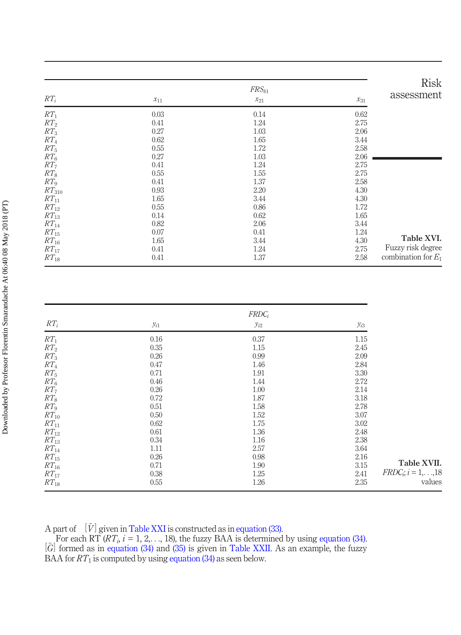| Risk<br>assessment    |          | $FRS_{b1}$ |          |            |
|-----------------------|----------|------------|----------|------------|
|                       | $x_{31}$ | $x_{21}$   | $x_{11}$ | $RT_i$     |
|                       | 0.62     | 0.14       | 0.03     | $RT_1$     |
|                       | 2.75     | 1.24       | 0.41     | $RT_2$     |
|                       | 2.06     | 1.03       | 0.27     | $RT_3$     |
|                       | 3.44     | 1.65       | 0.62     | $RT_4$     |
|                       | 2.58     | 1.72       | 0.55     | $RT_5$     |
|                       | 2.06     | 1.03       | 0.27     | $RT_6$     |
|                       | 2.75     | 1.24       | 0.41     | $RT_7$     |
|                       | 2.75     | 1.55       | 0.55     | $RT_8$     |
|                       | 2.58     | 1.37       | 0.41     | $RT_9$     |
|                       | 4.30     | 2.20       | 0.93     | $RT_{310}$ |
|                       | 4.30     | 3.44       | 1.65     | $RT_{11}$  |
|                       | 1.72     | 0.86       | 0.55     | $RT_{12}$  |
|                       | 1.65     | 0.62       | 0.14     | $RT_{13}$  |
|                       | 3.44     | 2.06       | 0.82     | $RT_{14}$  |
|                       | 1.24     | 0.41       | 0.07     | $RT_{15}$  |
| Table XVI.            | 4.30     | 3.44       | 1.65     | $RT_{16}$  |
| Fuzzy risk degree     | 2.75     | 1.24       | 0.41     | $RT_{17}$  |
| combination for $E_1$ | 2.58     | 1.37       | 0.41     | $RT_{18}$  |

<span id="page-21-0"></span>

|                 |          | $FRDC_i$ |          |                                |
|-----------------|----------|----------|----------|--------------------------------|
| $RT_i$          | $y_{i1}$ | $y_{i2}$ | $y_{i3}$ |                                |
| $RT_1$          | 0.16     | 0.37     | 1.15     |                                |
| $RT_2$          | 0.35     | 1.15     | 2.45     |                                |
| $RT_3$          | 0.26     | 0.99     | 2.09     |                                |
| $RT_4$          | 0.47     | 1.46     | 2.84     |                                |
| $RT_5$          | 0.71     | 1.91     | 3.30     |                                |
| $RT_6$          | 0.46     | 1.44     | 2.72     |                                |
| RT <sub>7</sub> | 0.26     | 1.00     | 2.14     |                                |
| $RT_8$          | 0.72     | 1.87     | 3.18     |                                |
| $RT_9$          | 0.51     | 1.58     | 2.78     |                                |
| $RT_{10}$       | 0.50     | 1.52     | 3.07     |                                |
| $RT_{11}$       | 0.62     | 1.75     | 3.02     |                                |
| $RT_{12}$       | 0.61     | 1.36     | 2.48     |                                |
| $RT_{13}$       | 0.34     | 1.16     | 2.38     |                                |
| $RT_{14}$       | 1.11     | 2.57     | 3.64     |                                |
| $RT_{15}$       | 0.26     | 0.98     | 2.16     |                                |
| $RT_{16}$       | 0.71     | 1.90     | 3.15     | Table XVII.                    |
| $RT_{17}$       | 0.38     | 1.25     | 2.41     | $FRDC_i$ ; $i = 1, \ldots, 18$ |
| $RT_{18}$       | 0.55     | 1.26     | 2.35     | values                         |

<span id="page-21-1"></span>A part of  $[\tilde{V}]$  given in [Table XXI](#page-24-1) is constructed as in [equation \(33\)](#page-14-0).

For each RT  $(RT_i, i = 1, 2, \ldots, 18)$ , the fuzzy BAA is determined by using [equation \(34\)](#page-14-0).  $[\tilde{G}]$  formed as in [equation \(34\)](#page-14-0) and [\(35\)](#page-14-0) is given in [Table XXII](#page-24-2). As an example, the fuzzy BAA for  $RT_1$  is computed by using [equation \(34\)](#page-14-0) as seen below.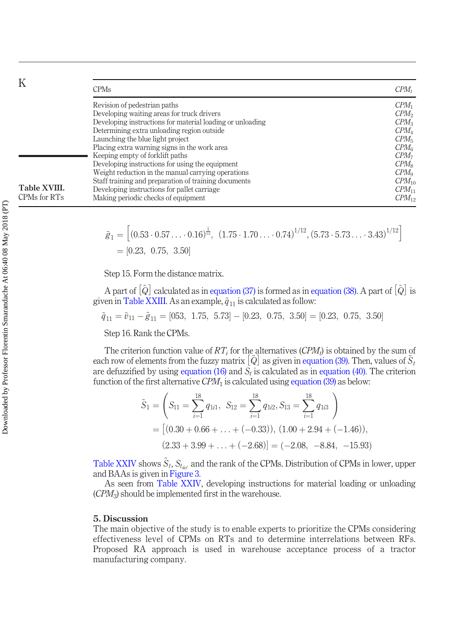| Κ            | <b>CPMs</b>                                               | $\mathit{CPM}_t$     |  |  |  |
|--------------|-----------------------------------------------------------|----------------------|--|--|--|
|              | Revision of pedestrian paths                              |                      |  |  |  |
|              | Developing waiting areas for truck drivers                | CPM <sub>2</sub>     |  |  |  |
|              | Developing instructions for material loading or unloading | CPM <sub>3</sub>     |  |  |  |
|              | Determining extra unloading region outside                | $CPM_A$              |  |  |  |
|              | Launching the blue light project                          | CPM <sub>5</sub>     |  |  |  |
|              | Placing extra warning signs in the work area              | CPM <sub>6</sub>     |  |  |  |
|              | Keeping empty of forklift paths                           | CPM <sub>7</sub>     |  |  |  |
|              | Developing instructions for using the equipment           | $CPM_{8}$            |  |  |  |
|              | Weight reduction in the manual carrying operations        | $CPM_{\rm Q}$        |  |  |  |
|              | Staff training and preparation of training documents      | $\mathcal{CPM}_{10}$ |  |  |  |
| Table XVIII. | Developing instructions for pallet carriage               | $\mathcal{CPM}_{11}$ |  |  |  |
| CPMs for RTs | Making periodic checks of equipment                       | $\mathcal{C}PM_{12}$ |  |  |  |

<span id="page-22-0"></span>
$$
\tilde{g}_1 = \left[ (0.53 \cdot 0.57 \dots \cdot 0.16)^{\frac{1}{12}}, (1.75 \cdot 1.70 \dots \cdot 0.74)^{1/12}, (5.73 \cdot 5.73 \dots \cdot 3.43)^{1/12} \right]
$$
  
= [0.23, 0.75, 3.50]

Step 15. Form the distance matrix.

A part of  $\small [\tilde{Q} ]$  calculated as in [equation \(37\)](#page-15-0) is formed as in [equation \(38\)](#page-15-0). A part of  $\small [\tilde{Q}]$  is given in [Table XXIII](#page-24-3). As an example,  $\tilde{q}_{11}$  is calculated as follow:

$$
\tilde{q}_{11} = \tilde{v}_{11} - \tilde{g}_{11} = [053, 1.75, 5.73] - [0.23, 0.75, 3.50] = [0.23, 0.75, 3.50]
$$

Step 16. Rank the CPMs.

The criterion function value of  $RT_i$  for the alternatives (CPM<sub>t</sub>) is obtained by the sum of each row of elements from the fuzzy matrix  $[\tilde{Q}]$  as given in [equation \(39\)](#page-15-0). Then, values of  $\tilde{S}_i$ are defuzzified by using [equation \(16\)](#page-10-1) and  $S_t$  is calculated as in [equation \(40\)](#page-15-0). The criterion function of the first alternative  $CPM<sub>1</sub>$  is calculated using [equation \(39\)](#page-15-0) as below:

$$
\tilde{S}_1 = \left( S_{11} = \sum_{i=1}^{18} q_{1i1}, \ S_{12} = \sum_{i=1}^{18} q_{1i2}, S_{13} = \sum_{i=1}^{18} q_{1i3} \right)
$$
  
= [(0.30 + 0.66 + ... + (-0.33)), (1.00 + 2.94 + (-1.46)),  
(2.33 + 3.99 + ... + (-2.68)] = (-2.08, -8.84, -15.93)

[Table XXIV](#page-25-0) shows  $\tilde{S}_t$ ,  $S_{t_{def}}$  and the rank of the CPMs. Distribution of CPMs in lower, upper and BAAs is given in [Figure 3.](#page-25-1)

As seen from [Table XXIV](#page-25-0), developing instructions for material loading or unloading  $(CPM_3)$  should be implemented first in the warehouse.

#### 5. Discussion

The main objective of the study is to enable experts to prioritize the CPMs considering effectiveness level of CPMs on RTs and to determine interrelations between RFs. Proposed RA approach is used in warehouse acceptance process of a tractor manufacturing company.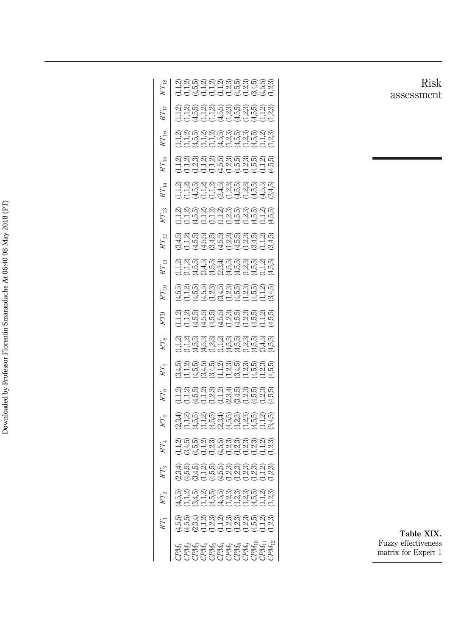<span id="page-23-0"></span>

Risk assessment

Table XIX. Fuzzy effectiveness matrix for Expert 1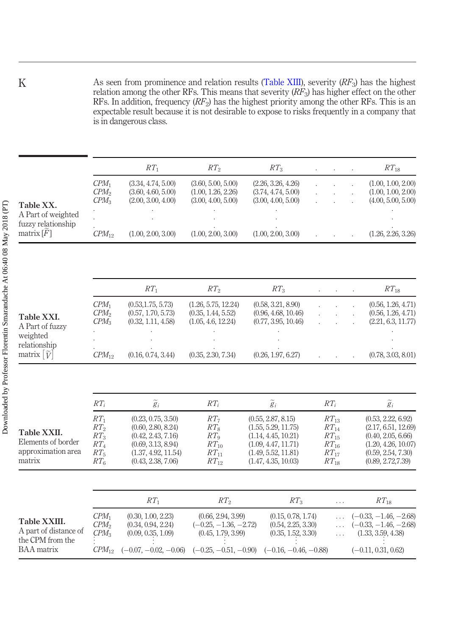As seen from prominence and relation results [\(Table XIII](#page-19-3)), severity  $(RF_3)$  has the highest relation among the other RFs. This means that severity  $(RF_3)$  has higher effect on the other RFs. In addition, frequency  $(RF_2)$  has the highest priority among the other RFs. This is an expectable result because it is not desirable to expose to risks frequently in a company that is in dangerous class.

<span id="page-24-3"></span><span id="page-24-2"></span><span id="page-24-1"></span><span id="page-24-0"></span>

|                                                                   |                                                                            | $RT_1$                                                                                                                            | RT <sub>2</sub>                                                              | $RT_3$                                                                                                                                |                                                                            | $RT_{18}$                                                                                                                          |
|-------------------------------------------------------------------|----------------------------------------------------------------------------|-----------------------------------------------------------------------------------------------------------------------------------|------------------------------------------------------------------------------|---------------------------------------------------------------------------------------------------------------------------------------|----------------------------------------------------------------------------|------------------------------------------------------------------------------------------------------------------------------------|
| Table XX.                                                         | $CPM_1$<br>CPM <sub>2</sub><br>CPM <sub>3</sub>                            | (3.34, 4.74, 5.00)<br>(3.60, 4.60, 5.00)<br>(2.00, 3.00, 4.00)                                                                    | (3.60, 5.00, 5.00)<br>(1.00, 1.26, 2.26)<br>(3.00, 4.00, 5.00)               | (2.26, 3.26, 4.26)<br>(3.74, 4.74, 5.00)<br>(3.00, 4.00, 5.00)                                                                        |                                                                            | (1.00, 1.00, 2.00)<br>(1.00, 1.00, 2.00)<br>(4.00, 5.00, 5.00)                                                                     |
| A Part of weighted<br>fuzzy relationship<br>matrix $[F]$          |                                                                            |                                                                                                                                   |                                                                              |                                                                                                                                       |                                                                            |                                                                                                                                    |
|                                                                   | $\mathcal{C}PM_{12}$                                                       | (1.00, 2.00, 3.00)                                                                                                                | (1.00, 2.00, 3.00)                                                           | (1.00, 2.00, 3.00)                                                                                                                    |                                                                            | (1.26, 2.26, 3.26)                                                                                                                 |
|                                                                   |                                                                            | $RT_1$                                                                                                                            | $RT_2$                                                                       | $RT_3$                                                                                                                                |                                                                            | $RT_{18}$                                                                                                                          |
| Table XXI.<br>A Part of fuzzy                                     | $CPM_1$<br>CPM <sub>2</sub><br>$\mathcal{C}PM_3$                           | (0.53, 1.75, 5.73)<br>(0.57, 1.70, 5.73)<br>(0.32, 1.11, 4.58)                                                                    | (1.26, 5.75, 12.24)<br>(0.35, 1.44, 5.52)<br>(1.05, 4.6, 12.24)              | (0.58, 3.21, 8.90)<br>(0.96, 4.68, 10.46)<br>(0.77, 3.95, 10.46)                                                                      |                                                                            | (0.56, 1.26, 4.71)<br>(0.56, 1.26, 4.71)<br>(2.21, 6.3, 11.77)                                                                     |
| weighted<br>relationship<br>matrix $ \tilde{V} $                  | $\mathbb{C}PM_{12}$                                                        | (0.16, 0.74, 3.44)                                                                                                                | (0.35, 2.30, 7.34)                                                           | (0.26, 1.97, 6.27)                                                                                                                    |                                                                            | (0.78, 3.03, 8.01)                                                                                                                 |
|                                                                   |                                                                            |                                                                                                                                   |                                                                              |                                                                                                                                       |                                                                            |                                                                                                                                    |
|                                                                   | $RT_i$                                                                     | $\widetilde{g}_i$                                                                                                                 | $RT_i$                                                                       | $\widetilde{g}_i$                                                                                                                     | $RT_i$                                                                     | $\widetilde{g}_i$                                                                                                                  |
| Table XXII.<br>Elements of border<br>approximation area<br>matrix | $RT_1$<br>RT <sub>2</sub><br>$RT_3$<br>$RT_4$<br>$RT_5$<br>RT <sub>6</sub> | (0.23, 0.75, 3.50)<br>(0.60, 2.80, 8.24)<br>(0.42, 2.43, 7.16)<br>(0.69, 3.13, 8.94)<br>(1.37, 4.92, 11.54)<br>(0.43, 2.38, 7.06) | RT <sub>7</sub><br>$RT_8$<br>$RT_{9}$<br>$RT_{10}$<br>$RT_{11}$<br>$RT_{12}$ | (0.55, 2.87, 8.15)<br>(1.55, 5.29, 11.75)<br>(1.14, 4.45, 10.21)<br>(1.09, 4.47, 11.71)<br>(1.49, 5.52, 11.81)<br>(1.47, 4.35, 10.03) | $RT_{13}$<br>$RT_{14}$<br>$RT_{15}$<br>$RT_{16}$<br>$RT_{17}$<br>$RT_{18}$ | (0.53, 2.22, 6.92)<br>(2.17, 6.51, 12.69)<br>(0.40, 2.05, 6.66)<br>(1.20, 4.26, 10.07)<br>(0.59, 2.54, 7.30)<br>(0.89, 2.72, 7.39) |
|                                                                   |                                                                            |                                                                                                                                   |                                                                              |                                                                                                                                       |                                                                            |                                                                                                                                    |
|                                                                   |                                                                            | $RT_1$                                                                                                                            | RT <sub>2</sub>                                                              | $RT_3$                                                                                                                                | $\cdots$                                                                   | $RT_{18}$                                                                                                                          |
| Table XXIII.<br>A part of distance of<br>the CPM from the         | $CPM_1$<br>CPM <sub>2</sub><br>CPM <sub>3</sub>                            | (0.30, 1.00, 2.23)<br>(0.34, 0.94, 2.24)<br>(0.09, 0.35, 1.09)                                                                    | (0.66, 2.94, 3.99)<br>$(-0.25, -1.36, -2.72)$<br>(0.45, 1.79, 3.99)          | (0.15, 0.78, 1.74)<br>(0.54, 2.25, 3.30)<br>(0.35, 1.52, 3.30)                                                                        | .                                                                          | $(-0.33, -1.46, -2.68)$<br>$(-0.33, -1.46, -2.68)$<br>(1.33, 3.59, 4.38)                                                           |
| <b>BAA</b> matrix                                                 |                                                                            | $CPM_{12}$ (-0.07, -0.02, -0.06) (-0.25, -0.51, -0.90)                                                                            |                                                                              | $(-0.16, -0.46, -0.88)$                                                                                                               |                                                                            | $(-0.11, 0.31, 0.62)$                                                                                                              |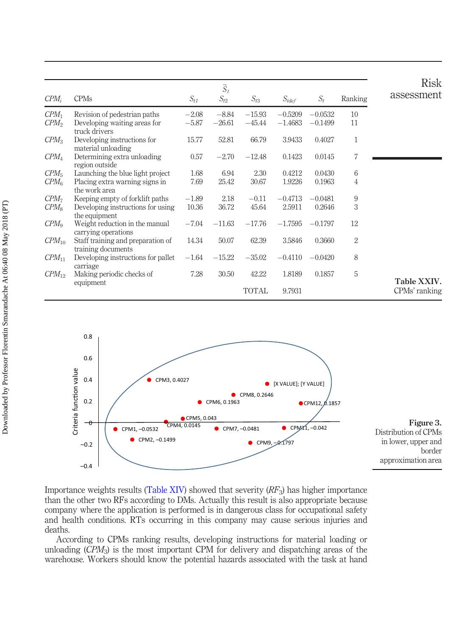|                      |                                                         |          | $\widetilde{S}_t$ |              |            |           |                | <b>Risk</b>   |
|----------------------|---------------------------------------------------------|----------|-------------------|--------------|------------|-----------|----------------|---------------|
| $CPM_i$              | <b>CPMs</b>                                             | $S_{t1}$ | $S_{t2}$          | $S_{t3}$     | $S_{tdef}$ | $S_t$     | Ranking        | assessment    |
| $CPM_1$              | Revision of pedestrian paths                            | $-2.08$  | $-8.84$           | $-15.93$     | $-0.5209$  | $-0.0532$ | 10             |               |
| CPM <sub>2</sub>     | Developing waiting areas for<br>truck drivers           | $-5.87$  | $-26.61$          | $-45.44$     | $-1.4683$  | $-0.1499$ | 11             |               |
| $\mathcal{CPM}_3$    | Developing instructions for<br>material unloading       | 15.77    | 52.81             | 66.79        | 3.9433     | 0.4027    | $\mathbf{1}$   |               |
| $CPM_A$              | Determining extra unloading<br>region outside           | 0.57     | $-2.70$           | $-12.48$     | 0.1423     | 0.0145    | 7              |               |
| CPM <sub>5</sub>     | Launching the blue light project                        | 1.68     | 6.94              | 2.30         | 0.4212     | 0.0430    | 6              |               |
| CPM <sub>6</sub>     | Placing extra warning signs in<br>the work area         | 7.69     | 25.42             | 30.67        | 1.9226     | 0.1963    | $\overline{4}$ |               |
| CPM <sub>7</sub>     | Keeping empty of forklift paths                         | $-1.89$  | 2.18              | $-0.11$      | $-0.4713$  | $-0.0481$ | 9              |               |
| $CPM_{8}$            | Developing instructions for using<br>the equipment      | 10.36    | 36.72             | 45.64        | 2.5911     | 0.2646    | 3              |               |
| $CPM_{\rm Q}$        | Weight reduction in the manual<br>carrying operations   | $-7.04$  | $-11.63$          | $-17.76$     | $-1.7595$  | $-0.1797$ | 12             |               |
| $\mathcal{C}PM_{10}$ | Staff training and preparation of<br>training documents | 14.34    | 50.07             | 62.39        | 3.5846     | 0.3660    | $\overline{2}$ |               |
| $CPM_{11}$           | Developing instructions for pallet<br>carriage          | $-1.64$  | $-15.22$          | $-35.02$     | $-0.4110$  | $-0.0420$ | 8              |               |
| $\mathcal{C}PM_{12}$ | Making periodic checks of<br>equipment                  | 7.28     | 30.50             | 42.22        | 1.8189     | 0.1857    | 5              | Table XXIV.   |
|                      |                                                         |          |                   | <b>TOTAL</b> | 9.7931     |           |                | CPMs' ranking |

<span id="page-25-1"></span><span id="page-25-0"></span>

Importance weights results ([Table XIV](#page-20-0)) showed that severity  $(RF_3)$  has higher importance than the other two RFs according to DMs. Actually this result is also appropriate because company where the application is performed is in dangerous class for occupational safety and health conditions. RTs occurring in this company may cause serious injuries and deaths.

According to CPMs ranking results, developing instructions for material loading or unloading  $(CPM_3)$  is the most important CPM for delivery and dispatching areas of the warehouse. Workers should know the potential hazards associated with the task at hand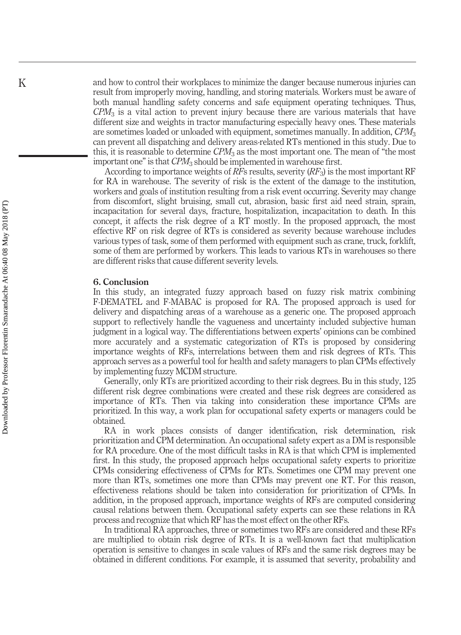and how to control their workplaces to minimize the danger because numerous injuries can result from improperly moving, handling, and storing materials. Workers must be aware of both manual handling safety concerns and safe equipment operating techniques. Thus,  $CPM<sub>3</sub>$  is a vital action to prevent injury because there are various materials that have different size and weights in tractor manufacturing especially heavy ones. These materials are sometimes loaded or unloaded with equipment, sometimes manually. In addition,  $CPM<sub>3</sub>$ can prevent all dispatching and delivery areas-related RTs mentioned in this study. Due to this, it is reasonable to determine  $CPM<sub>3</sub>$  as the most important one. The mean of "the most" important one" is that  $CPM_3$  should be implemented in warehouse first.

According to importance weights of RFs results, severity  $(RF_3)$  is the most important RF for RA in warehouse. The severity of risk is the extent of the damage to the institution, workers and goals of institution resulting from a risk event occurring. Severity may change from discomfort, slight bruising, small cut, abrasion, basic first aid need strain, sprain, incapacitation for several days, fracture, hospitalization, incapacitation to death. In this concept, it affects the risk degree of a RT mostly. In the proposed approach, the most effective RF on risk degree of RTs is considered as severity because warehouse includes various types of task, some of them performed with equipment such as crane, truck, forklift, some of them are performed by workers. This leads to various RTs in warehouses so there are different risks that cause different severity levels.

#### 6. Conclusion

In this study, an integrated fuzzy approach based on fuzzy risk matrix combining F-DEMATEL and F-MABAC is proposed for RA. The proposed approach is used for delivery and dispatching areas of a warehouse as a generic one. The proposed approach support to reflectively handle the vagueness and uncertainty included subjective human judgment in a logical way. The differentiations between experts' opinions can be combined more accurately and a systematic categorization of RTs is proposed by considering importance weights of RFs, interrelations between them and risk degrees of RTs. This approach serves as a powerful tool for health and safety managers to plan CPMs effectively by implementing fuzzy MCDM structure.

Generally, only RTs are prioritized according to their risk degrees. Bu in this study, 125 different risk degree combinations were created and these risk degrees are considered as importance of RTs. Then via taking into consideration these importance CPMs are prioritized. In this way, a work plan for occupational safety experts or managers could be obtained.

RA in work places consists of danger identification, risk determination, risk prioritization and CPM determination. An occupational safety expert as a DM is responsible for RA procedure. One of the most difficult tasks in RA is that which CPM is implemented first. In this study, the proposed approach helps occupational safety experts to prioritize CPMs considering effectiveness of CPMs for RTs. Sometimes one CPM may prevent one more than RTs, sometimes one more than CPMs may prevent one RT. For this reason, effectiveness relations should be taken into consideration for prioritization of CPMs. In addition, in the proposed approach, importance weights of RFs are computed considering causal relations between them. Occupational safety experts can see these relations in RA process and recognize that which RF has the most effect on the other RFs.

In traditional RA approaches, three or sometimes two RFs are considered and these RFs are multiplied to obtain risk degree of RTs. It is a well-known fact that multiplication operation is sensitive to changes in scale values of RFs and the same risk degrees may be obtained in different conditions. For example, it is assumed that severity, probability and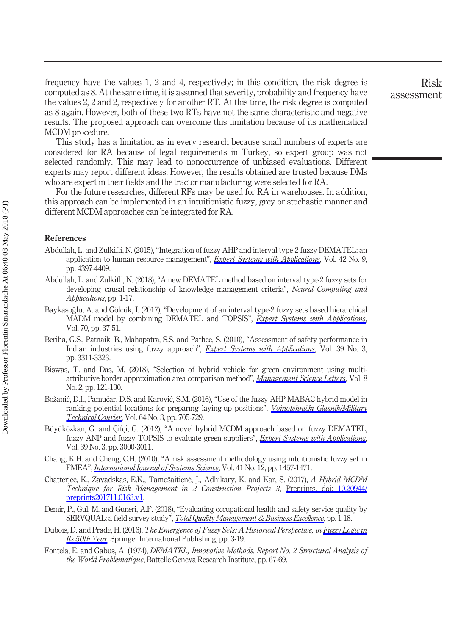frequency have the values 1, 2 and 4, respectively; in this condition, the risk degree is computed as 8. At the same time, it is assumed that severity, probability and frequency have the values 2, 2 and 2, respectively for another RT. At this time, the risk degree is computed as 8 again. However, both of these two RTs have not the same characteristic and negative results. The proposed approach can overcome this limitation because of its mathematical MCDM procedure.

This study has a limitation as in every research because small numbers of experts are considered for RA because of legal requirements in Turkey, so expert group was not selected randomly. This may lead to nonoccurrence of unbiased evaluations. Different experts may report different ideas. However, the results obtained are trusted because DMs who are expert in their fields and the tractor manufacturing were selected for RA.

For the future researches, different RFs may be used for RA in warehouses. In addition, this approach can be implemented in an intuitionistic fuzzy, grey or stochastic manner and different MCDM approaches can be integrated for RA.

#### References

- <span id="page-27-7"></span>Abdullah, L. and Zulkifli, N. (2015), "Integration of fuzzy AHP and interval type-2 fuzzy DEMATEL: an application to human resource management", *[Expert Systems with Applications](https://www.emeraldinsight.com/action/showLinks?doi=10.1108%2FK-12-2017-0497&crossref=10.1016%2Fj.eswa.2015.01.021&isi=000352748900020&citationId=p_1)*, Vol. 42 No. 9, pp. 4397-4409.
- <span id="page-27-10"></span>Abdullah, L. and Zulkifli, N. (2018), "A new DEMATEL method based on interval type-2 fuzzy sets for developing causal relationship of knowledge management criteria", Neural Computing and Applications, pp. 1-17.
- <span id="page-27-9"></span>Baykasoglu, A. and Gölcük, I. (2017), "Development of an interval type-2 fuzzy sets based hierarchical MADM model by combining DEMATEL and TOPSIS", *[Expert Systems with Applications](https://www.emeraldinsight.com/action/showLinks?doi=10.1108%2FK-12-2017-0497&crossref=10.1016%2Fj.eswa.2016.11.001&isi=000389162000003&citationId=p_3)*, Vol. 70, pp. 37-51.
- <span id="page-27-3"></span>Beriha, G.S., Patnaik, B., Mahapatra, S.S. and Pathee, S. (2010), "Assessment of safety performance in Indian industries using fuzzy approach", [Expert Systems with Applications](https://www.emeraldinsight.com/action/showLinks?doi=10.1108%2FK-12-2017-0497&crossref=10.1016%2Fj.eswa.2011.09.018&isi=000297823300114&citationId=p_4), Vol. 39 No. 3, pp. 3311-3323.
- <span id="page-27-2"></span>Biswas, T. and Das, M. (2018), "Selection of hybrid vehicle for green environment using multiattributive border approximation area comparison method", *[Management Science Letters](https://www.emeraldinsight.com/action/showLinks?doi=10.1108%2FK-12-2017-0497&crossref=10.5267%2Fj.msl.2017.11.004&citationId=p_5)*, Vol. 8 No. 2, pp. 121-130.
- <span id="page-27-5"></span>Božanic, D.I., Pamucar, D.S. and Karovic, S.M. (2016), "Use of the fuzzy AHP-MABAC hybrid model in ranking potential locations for preparıng laying-up positions", Vojnotehnicki [Glasnik/Military](https://www.emeraldinsight.com/action/showLinks?doi=10.1108%2FK-12-2017-0497&crossref=10.5937%2Fvojtehg64-9261&citationId=p_6) [Technical Courier](https://www.emeraldinsight.com/action/showLinks?doi=10.1108%2FK-12-2017-0497&crossref=10.5937%2Fvojtehg64-9261&citationId=p_6), Vol. 64 No. 3, pp. 705-729.
- <span id="page-27-6"></span>Büyüközkan, G. and Çifçi, G. (2012), "A novel hybrid MCDM approach based on fuzzy DEMATEL, fuzzy ANP and fuzzy TOPSIS to evaluate green suppliers", **[Expert Systems with Applications](https://www.emeraldinsight.com/action/showLinks?doi=10.1108%2FK-12-2017-0497&crossref=10.1016%2Fj.eswa.2011.08.162&isi=000297823300081&citationId=p_7)**, Vol. 39 No. 3, pp. 3000-3011.
- <span id="page-27-8"></span>Chang, K.H. and Cheng, C.H. (2010), "A risk assessment methodology using intuitionistic fuzzy set in FMEA", [International Journal of Systems Science](https://www.emeraldinsight.com/action/showLinks?doi=10.1108%2FK-12-2017-0497&crossref=10.1080%2F00207720903353633&isi=000283314600005&citationId=p_8), Vol. 41 No. 12, pp. 1457-1471.
- <span id="page-27-1"></span>Chatterjee, K., Zavadskas, E.K., Tamošaitienė, J., Adhikary, K. and Kar, S. (2017), A Hybrid MCDM Technique for Risk Management in 2 Construction Projects 3, [Preprints, doi:](https://www.emeraldinsight.com/action/showLinks?doi=10.1108%2FK-12-2017-0497&crossref=10.20944%2Fpreprints201711.0163.v1&citationId=p_9) [10.20944/](http://dx.doi.org/10.20944/preprints201711.0163.v1) [preprints201711.0163.v1](https://www.emeraldinsight.com/action/showLinks?doi=10.1108%2FK-12-2017-0497&crossref=10.20944%2Fpreprints201711.0163.v1&citationId=p_9).
- <span id="page-27-4"></span>Demir, P., Gul, M. and Guneri, A.F. (2018), "Evaluating occupational health and safety service quality by SERVQUAL: a field survey study", *[Total Quality Management & Business Excellence](https://www.emeraldinsight.com/action/showLinks?doi=10.1108%2FK-12-2017-0497&crossref=10.1080%2F14783363.2018.1433029&citationId=p_10)*, pp. 1-18.
- <span id="page-27-11"></span>Dubois, D. and Prade, H. (2016), The Emergence of Fuzzy Sets: A Historical Perspective, in [Fuzzy Logic in](https://www.emeraldinsight.com/action/showLinks?doi=10.1108%2FK-12-2017-0497&crossref=10.1007%2F978-3-319-31093-0_1&citationId=p_11) [Its 50th Year](https://www.emeraldinsight.com/action/showLinks?doi=10.1108%2FK-12-2017-0497&crossref=10.1007%2F978-3-319-31093-0_1&citationId=p_11), Springer International Publishing, pp. 3-19.
- <span id="page-27-0"></span>Fontela, E. and Gabus, A. (1974), DEMATEL, Innovative Methods. Report No. 2 Structural Analysis of the World Problematique, Battelle Geneva Research Institute, pp. 67-69.

Risk assessment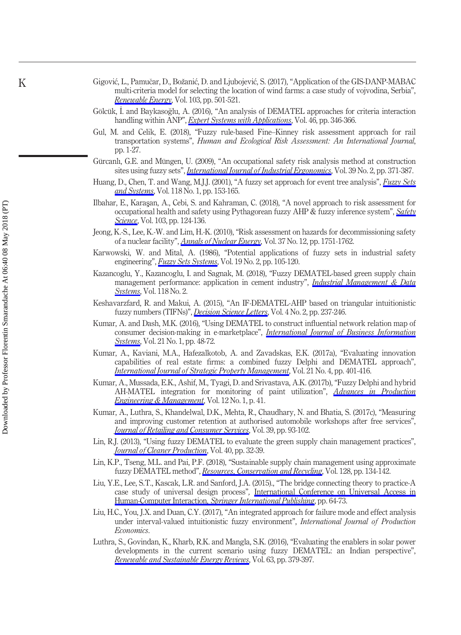- <span id="page-28-11"></span>Gigovic, L., Pamucar, D., Božanic, D. and Ljubojevic, S. (2017), "Application of the GIS-DANP-MABAC multi-criteria model for selecting the location of wind farms: a case study of vojvodina, Serbia", [Renewable Energy](https://www.emeraldinsight.com/action/showLinks?doi=10.1108%2FK-12-2017-0497&crossref=10.1016%2Fj.renene.2016.11.057&isi=000392769800044&citationId=p_13), Vol. 103, pp. 501-521.
- <span id="page-28-16"></span>Gölcük, İ. and Baykasoğlu, A. (2016), "An analysis of DEMATEL approaches for criteria interaction handling within ANP", *[Expert Systems with Applications](https://www.emeraldinsight.com/action/showLinks?doi=10.1108%2FK-12-2017-0497&crossref=10.1016%2Fj.eswa.2015.10.041&isi=000367112400029&citationId=p_14)*, Vol. 46, pp. 346-366.
- <span id="page-28-9"></span>Gul, M. and Celik, E. (2018), "Fuzzy rule-based Fine–Kinney risk assessment approach for rail transportation systems", Human and Ecological Risk Assessment: An International Journal, pp. 1-27.
- <span id="page-28-6"></span>Gürcanlı, G.E. and Müngen, U. (2009), "An occupational safety risk analysis method at construction sites using fuzzy sets", *[International Journal of Industrial Ergonomics](https://www.emeraldinsight.com/action/showLinks?doi=10.1108%2FK-12-2017-0497&crossref=10.1016%2Fj.ergon.2008.10.006&isi=000264417800012&citationId=p_16)*, Vol. 39 No. 2, pp. 371-387.
- <span id="page-28-18"></span>Huang, D., Chen, T. and Wang, M.J.J. (2001), "A fuzzy set approach for event tree analysis", [Fuzzy Sets](https://www.emeraldinsight.com/action/showLinks?doi=10.1108%2FK-12-2017-0497&crossref=10.1016%2FS0165-0114%2898%2900288-7&isi=000166268000012&citationId=p_17) [and Systems](https://www.emeraldinsight.com/action/showLinks?doi=10.1108%2FK-12-2017-0497&crossref=10.1016%2FS0165-0114%2898%2900288-7&isi=000166268000012&citationId=p_17), Vol. 118 No. 1, pp. 153-165.
- <span id="page-28-8"></span>Ilbahar, E., Karasan, A., Cebi, S. and Kahraman, C. (2018), "A novel approach to risk assessment for occupational health and safety using Pythagorean fuzzy AHP & fuzzy inference system", [Safety](https://www.emeraldinsight.com/action/showLinks?doi=10.1108%2FK-12-2017-0497&crossref=10.1016%2Fj.ssci.2017.10.025&isi=000424722000012&citationId=p_18) [Science](https://www.emeraldinsight.com/action/showLinks?doi=10.1108%2FK-12-2017-0497&crossref=10.1016%2Fj.ssci.2017.10.025&isi=000424722000012&citationId=p_18), Vol. 103, pp. 124-136.
- <span id="page-28-7"></span>Jeong, K.-S., Lee, K.-W. and Lim, H.-K. (2010), "Risk assessment on hazards for decommissioning safety of a nuclear facility", *[Annals of Nuclear Energy](https://www.emeraldinsight.com/action/showLinks?doi=10.1108%2FK-12-2017-0497&crossref=10.1016%2Fj.anucene.2010.07.002&isi=000283010900015&citationId=p_19)*, Vol. 37 No. 12, pp. 1751-1762.
- <span id="page-28-5"></span>Karwowski, W. and Mital, A. (1986), "Potential applications of fuzzy sets in industrial safety engineering", [Fuzzy Sets Systems](https://www.emeraldinsight.com/action/showLinks?doi=10.1108%2FK-12-2017-0497&crossref=10.1016%2F0165-0114%2886%2990031-X&isi=A1986C703300001&citationId=p_20), Vol. 19 No. 2, pp. 105-120.
- <span id="page-28-4"></span>Kazancoglu, Y., Kazancoglu, I. and Sagnak, M. (2018), "Fuzzy DEMATEL-based green supply chain management performance: application in cement industry", *[Industrial Management & Data](https://www.emeraldinsight.com/action/showLinks?doi=10.1108%2FK-12-2017-0497&system=10.1108%2FIMDS-03-2017-0121&citationId=p_21)* [Systems](https://www.emeraldinsight.com/action/showLinks?doi=10.1108%2FK-12-2017-0497&system=10.1108%2FIMDS-03-2017-0121&citationId=p_21), Vol. 118 No. 2.
- <span id="page-28-15"></span>Keshavarzfard, R. and Makui, A. (2015), "An IF-DEMATEL-AHP based on triangular intuitionistic fuzzy numbers (TIFNs)", *[Decision Science Letters](https://www.emeraldinsight.com/action/showLinks?doi=10.1108%2FK-12-2017-0497&crossref=10.5267%2Fj.dsl.2014.11.002&citationId=p_22)*, Vol. 4 No. 2, pp. 237-246.
- <span id="page-28-3"></span>Kumar, A. and Dash, M.K. (2016), "Using DEMATEL to construct influential network relation map of consumer decision-making in e-marketplace", *[International Journal of Business Information](https://www.emeraldinsight.com/action/showLinks?doi=10.1108%2FK-12-2017-0497&crossref=10.1504%2FIJBIS.2016.073380&citationId=p_23)* [Systems](https://www.emeraldinsight.com/action/showLinks?doi=10.1108%2FK-12-2017-0497&crossref=10.1504%2FIJBIS.2016.073380&citationId=p_23), Vol. 21 No. 1, pp. 48-72.
- <span id="page-28-0"></span>Kumar, A., Kaviani, M.A., Hafezalkotob, A. and Zavadskas, E.K. (2017a), "Evaluating innovation capabilities of real estate firms: a combined fuzzy Delphi and DEMATEL approach", [International Journal of Strategic Property Management](https://www.emeraldinsight.com/action/showLinks?doi=10.1108%2FK-12-2017-0497&crossref=10.3846%2F1648715X.2017.1409291&isi=000422908000006&citationId=p_24), Vol. 21 No. 4, pp. 401-416.
- <span id="page-28-1"></span>Kumar, A., Mussada, E.K., Ashif, M., Tyagi, D. and Srivastava, A.K. (2017b), "Fuzzy Delphi and hybrid AH-MATEL integration for monitoring of paint utilization", *[Advances in Production](https://www.emeraldinsight.com/action/showLinks?doi=10.1108%2FK-12-2017-0497&crossref=10.14743%2Fapem2017.1.238&isi=000398745100004&citationId=p_25)* [Engineering & Management](https://www.emeraldinsight.com/action/showLinks?doi=10.1108%2FK-12-2017-0497&crossref=10.14743%2Fapem2017.1.238&isi=000398745100004&citationId=p_25), Vol. 12 No. 1, p. 41.
- <span id="page-28-2"></span>Kumar, A., Luthra, S., Khandelwal, D.K., Mehta, R., Chaudhary, N. and Bhatia, S. (2017c), "Measuring and improving customer retention at authorised automobile workshops after free services", [Journal of Retailing and Consumer Services](https://www.emeraldinsight.com/action/showLinks?doi=10.1108%2FK-12-2017-0497&crossref=10.1016%2Fj.jretconser.2017.07.007&isi=000416654300010&citationId=p_26), Vol. 39, pp. 93-102.
- <span id="page-28-12"></span>Lin, R.J. (2013), "Using fuzzy DEMATEL to evaluate the green supply chain management practices", [Journal of Cleaner Production](https://www.emeraldinsight.com/action/showLinks?doi=10.1108%2FK-12-2017-0497&crossref=10.1016%2Fj.jclepro.2011.06.010&isi=000312173200005&citationId=p_27), Vol. 40, pp. 32-39.
- <span id="page-28-17"></span>Lin, K.P., Tseng, M.L. and Pai, P.F. (2018), "Sustainable supply chain management using approximate fuzzy DEMATEL method", [Resources, Conservation and Recycling](https://www.emeraldinsight.com/action/showLinks?doi=10.1108%2FK-12-2017-0497&crossref=10.1016%2Fj.resconrec.2016.11.017&isi=000417658500017&citationId=p_28), Vol. 128, pp. 134-142.
- <span id="page-28-13"></span>Liu, Y.E., Lee, S.T., Kascak, L.R. and Sanford, J.A. (2015)., "The bridge connecting theory to practice-A case study of universal design process", [International Conference on Universal Access in](https://www.emeraldinsight.com/action/showLinks?doi=10.1108%2FK-12-2017-0497&crossref=10.1007%2F978-3-319-20678-3_7&citationId=p_29) Human-Computer Interaction[, Springer International Publishing](https://www.emeraldinsight.com/action/showLinks?doi=10.1108%2FK-12-2017-0497&crossref=10.1007%2F978-3-319-20678-3_7&citationId=p_29), pp. 64-73.
- <span id="page-28-10"></span>Liu, H.C., You, J.X. and Duan, C.Y. (2017), "An integrated approach for failure mode and effect analysis under interval-valued intuitionistic fuzzy environment", International Journal of Production Economics.
- <span id="page-28-14"></span>Luthra, S., Govindan, K., Kharb, R.K. and Mangla, S.K. (2016), "Evaluating the enablers in solar power developments in the current scenario using fuzzy DEMATEL: an Indian perspective", [Renewable and Sustainable Energy Reviews](https://www.emeraldinsight.com/action/showLinks?doi=10.1108%2FK-12-2017-0497&crossref=10.1016%2Fj.rser.2016.04.041&isi=000379887700027&citationId=p_31), Vol. 63, pp. 379-397.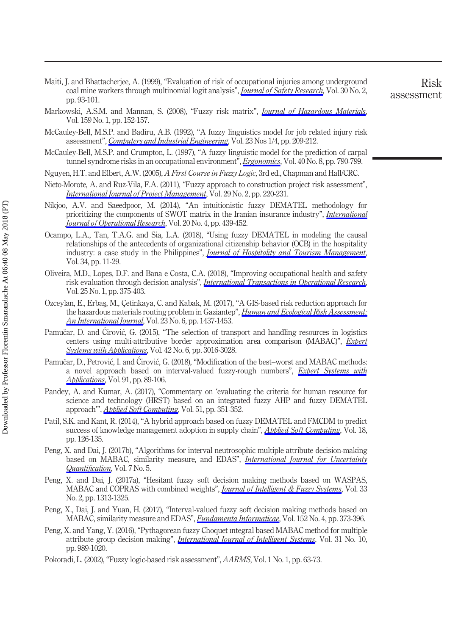- <span id="page-29-5"></span>Maiti, J. and Bhattacherjee, A. (1999), "Evaluation of risk of occupational injuries among underground coal mine workers through multinomial logit analysis", *[Journal of Safety Research](https://www.emeraldinsight.com/action/showLinks?doi=10.1108%2FK-12-2017-0497&crossref=10.1016%2FS0022-4375%2899%2900003-1&isi=000080569800002&citationId=p_32)*, Vol. 30 No. 2, pp. 93-101.
- <span id="page-29-7"></span>Markowski, A.S.M. and Mannan, S. (2008), "Fuzzy risk matrix", *[Journal of Hazardous Materials](https://www.emeraldinsight.com/action/showLinks?doi=10.1108%2FK-12-2017-0497&crossref=10.1016%2Fj.jhazmat.2008.03.055&isi=000260447300023&citationId=p_33)*, Vol. 159 No. 1, pp. 152-157.
- <span id="page-29-3"></span>McCauley-Bell, M.S.P. and Badiru, A.B. (1992), "A fuzzy linguistics model for job related injury risk assessment", [Computers and Industrial Engineering](https://www.emeraldinsight.com/action/showLinks?doi=10.1108%2FK-12-2017-0497&crossref=10.1016%2F0360-8352%2892%2990100-X&isi=A1992KA10500051&citationId=p_34), Vol. 23 Nos 1/4, pp. 209-212.
- <span id="page-29-4"></span>McCauley-Bell, M.S.P. and Crumpton, L. (1997), "A fuzzy linguistic model for the prediction of carpal tunnel syndrome risks in an occupational environment", [Ergonomics](https://www.emeraldinsight.com/action/showLinks?doi=10.1108%2FK-12-2017-0497&crossref=10.1080%2F001401397187784&isi=A1997XM91700002&citationId=p_35), Vol. 40 No. 8, pp. 790-799.
- <span id="page-29-18"></span>Nguyen, H.T. and Elbert, A.W. (2005), A First Course in Fuzzy Logic, 3rd ed., Chapman and Hall/CRC.
- <span id="page-29-8"></span>Nieto-Morote, A. and Ruz-Vila, F.A. (2011), "Fuzzy approach to construction project risk assessment", [International Journal of Project Management](https://www.emeraldinsight.com/action/showLinks?doi=10.1108%2FK-12-2017-0497&crossref=10.1016%2Fj.ijproman.2010.02.002&isi=000286955300010&citationId=p_37), Vol. 29 No. 2, pp. 220-231.
- <span id="page-29-15"></span>Nikjoo, A.V. and Saeedpoor, M. (2014), "An intuitionistic fuzzy DEMATEL methodology for prioritizing the components of SWOT matrix in the Iranian insurance industry", *[International](https://www.emeraldinsight.com/action/showLinks?doi=10.1108%2FK-12-2017-0497&crossref=10.1504%2FIJOR.2014.063152&citationId=p_38)* [Journal of Operational Research](https://www.emeraldinsight.com/action/showLinks?doi=10.1108%2FK-12-2017-0497&crossref=10.1504%2FIJOR.2014.063152&citationId=p_38), Vol. 20 No. 4, pp. 439-452.
- <span id="page-29-0"></span>Ocampo, L.A., Tan, T.A.G. and Sia, L.A. (2018), "Using fuzzy DEMATEL in modeling the causal relationships of the antecedents of organizational citizenship behavior (OCB) in the hospitality industry: a case study in the Philippines", *[Journal of Hospitality and Tourism Management](https://www.emeraldinsight.com/action/showLinks?doi=10.1108%2FK-12-2017-0497&crossref=10.1016%2Fj.jhtm.2017.11.002&isi=000426446200002&citationId=p_39)*, Vol. 34, pp. 11-29.
- <span id="page-29-10"></span>Oliveira, M.D., Lopes, D.F. and Bana e Costa, C.A. (2018), "Improving occupational health and safety risk evaluation through decision analysis", *[International Transactions in Operational Research](https://www.emeraldinsight.com/action/showLinks?doi=10.1108%2FK-12-2017-0497&crossref=10.1111%2Fitor.12339&isi=000413724200016&citationId=p_40)*, Vol. 25 No. 1, pp. 375-403.
- <span id="page-29-9"></span>Özceylan, E., Erbas, M., Çetinkaya, C. and Kabak, M. (2017), "A GIS-based risk reduction approach for the hazardous materials routing problem in Gaziantep", *Human and Ecological Risk Assessment*: [An International Journal](https://www.emeraldinsight.com/action/showLinks?doi=10.1108%2FK-12-2017-0497&crossref=10.1080%2F10807039.2017.1325713&citationId=p_41), Vol. 23 No. 6, pp. 1437-1453.
- <span id="page-29-1"></span>Pamučar, D. and Ćirović, G. (2015), "The selection of transport and handling resources in logistics centers using multi-attributive border approximation area comparison (MABAC)", *[Expert](https://www.emeraldinsight.com/action/showLinks?doi=10.1108%2FK-12-2017-0497&crossref=10.1016%2Fj.eswa.2014.11.057&isi=000349271500015&citationId=p_42)* [Systems with Applications](https://www.emeraldinsight.com/action/showLinks?doi=10.1108%2FK-12-2017-0497&crossref=10.1016%2Fj.eswa.2014.11.057&isi=000349271500015&citationId=p_42), Vol. 42 No. 6, pp. 3016-3028.
- <span id="page-29-2"></span>Pamucar, D., Petrovic, I. and Cirovic, G. (2018), "Modification of the best–worst and MABAC methods: a novel approach based on interval-valued fuzzy-rough numbers", *[Expert Systems with](https://www.emeraldinsight.com/action/showLinks?doi=10.1108%2FK-12-2017-0497&crossref=10.1016%2Fj.eswa.2017.08.042&isi=000414619600008&citationId=p_43)* [Applications](https://www.emeraldinsight.com/action/showLinks?doi=10.1108%2FK-12-2017-0497&crossref=10.1016%2Fj.eswa.2017.08.042&isi=000414619600008&citationId=p_43), Vol. 91, pp. 89-106.
- <span id="page-29-16"></span>Pandey, A. and Kumar, A. (2017), "Commentary on 'evaluating the criteria for human resource for science and technology (HRST) based on an integrated fuzzy AHP and fuzzy DEMATEL approach", *[Applied Soft Computing](https://www.emeraldinsight.com/action/showLinks?doi=10.1108%2FK-12-2017-0497&crossref=10.1016%2Fj.asoc.2016.12.008&isi=000395836900026&citationId=p_44)*, Vol. 51, pp. 351-352.
- <span id="page-29-14"></span>Patil, S.K. and Kant, R. (2014), "A hybrid approach based on fuzzy DEMATEL and FMCDM to predict success of knowledge management adoption in supply chain", *[Applied Soft Computing](https://www.emeraldinsight.com/action/showLinks?doi=10.1108%2FK-12-2017-0497&crossref=10.1016%2Fj.asoc.2014.01.027&isi=000333056400011&citationId=p_45)*, Vol. 18, pp. 126-135.
- <span id="page-29-13"></span>Peng, X. and Dai, J. (2017b), "Algorithms for interval neutrosophic multiple attribute decision-making based on MABAC, similarity measure, and EDAS", *[International Journal for Uncertainty](https://www.emeraldinsight.com/action/showLinks?doi=10.1108%2FK-12-2017-0497&crossref=10.1615%2FInt.J.UncertaintyQuantification.2017020416&isi=000415634100002&citationId=p_46)* [Quanti](https://www.emeraldinsight.com/action/showLinks?doi=10.1108%2FK-12-2017-0497&crossref=10.1615%2FInt.J.UncertaintyQuantification.2017020416&isi=000415634100002&citationId=p_46)fication, Vol. 7 No. 5.
- <span id="page-29-17"></span>Peng, X. and Dai, J. (2017a), "Hesitant fuzzy soft decision making methods based on WASPAS, MABAC and COPRAS with combined weights", *[Journal of Intelligent & Fuzzy Systems](https://www.emeraldinsight.com/action/showLinks?doi=10.1108%2FK-12-2017-0497&crossref=10.3233%2FJIFS-17124&isi=000406149900054&citationId=p_47)*, Vol. 33 No. 2, pp. 1313-1325.
- <span id="page-29-12"></span>Peng, X., Dai, J. and Yuan, H. (2017), "Interval-valued fuzzy soft decision making methods based on MABAC, similarity measure and EDAS", [Fundamenta Informaticae](https://www.emeraldinsight.com/action/showLinks?doi=10.1108%2FK-12-2017-0497&crossref=10.3233%2FFI-2017-1525&isi=000401338000003&citationId=p_48), Vol. 152 No. 4, pp. 373-396.
- <span id="page-29-11"></span>Peng, X. and Yang, Y. (2016), "Pythagorean fuzzy Choquet ıntegral based MABAC method for multiple attribute group decision making", *[International Journal of Intelligent Systems](https://www.emeraldinsight.com/action/showLinks?doi=10.1108%2FK-12-2017-0497&crossref=10.1002%2Fint.21814&isi=000380925200003&citationId=p_49)*, Vol. 31 No. 10, pp. 989-1020.
- <span id="page-29-6"></span>Pokoradi, L. (2002), "Fuzzy logic-based risk assessment", AARMS, Vol. 1 No. 1, pp. 63-73.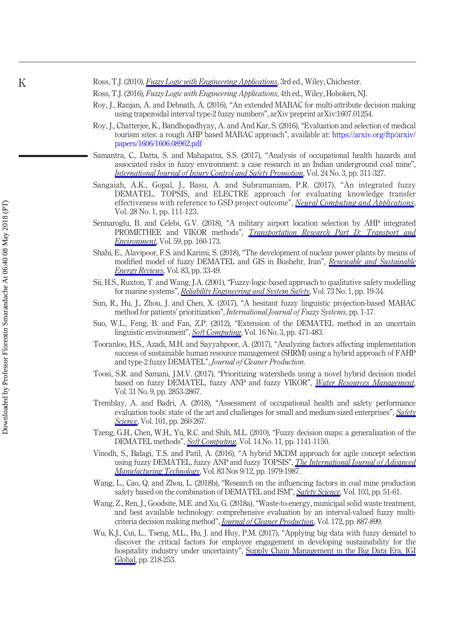- <span id="page-30-0"></span>Ross, T.J. (2010), [Fuzzy Logic with Engineering Applications](https://www.emeraldinsight.com/action/showLinks?doi=10.1108%2FK-12-2017-0497&crossref=10.1002%2F9781119994374&citationId=p_51), 3rd ed., Wiley, Chichester.
- <span id="page-30-18"></span>Ross, T.J. (2016), Fuzzy Logic with Engineering Applications, 4th ed., Wiley, Hoboken, NJ.
- <span id="page-30-6"></span>Roy, J., Ranjan, A. and Debnath, A. (2016), "An extended MABAC for multi-attribute decision making using trapezoidal interval type-2 fuzzy numbers", arXiv preprint arXiv:1607.01254.
- <span id="page-30-7"></span>Roy, J., Chatterjee, K., Bandhopadhyay, A. and And Kar, S. (2016), "Evaluation and selection of medical tourism sites: a rough AHP based MABAC approach", available at: [https://arxiv.org/ftp/arxiv/](https://arxiv.org/ftp/arxiv/papers/1606/1606.08962.pdf) [papers/1606/1606.08962.pdf](https://arxiv.org/ftp/arxiv/papers/1606/1606.08962.pdf)
- <span id="page-30-1"></span>Samantra, C., Datta, S. and Mahapatra, S.S. (2017), "Analysis of occupational health hazards and associated risks in fuzzy environment: a case research in an Indian underground coal mine", [International Journal of Injury Control and Safety Promotion](https://www.emeraldinsight.com/action/showLinks?doi=10.1108%2FK-12-2017-0497&crossref=10.1080%2F17457300.2016.1178298&isi=000406783900005&citationId=p_55), Vol. 24 No. 3, pp. 311-327.
- <span id="page-30-10"></span>Sangaiah, A.K., Gopal, J., Basu, A. and Subramaniam, P.R. (2017), "An integrated fuzzy DEMATEL, TOPSIS, and ELECTRE approach for evaluating knowledge transfer effectiveness with reference to GSD project outcome", [Neural Computing and Applications](https://www.emeraldinsight.com/action/showLinks?doi=10.1108%2FK-12-2017-0497&crossref=10.1007%2Fs00521-015-2040-7&isi=000392419100009&citationId=p_56), Vol. 28 No. 1, pp. 111-123.
- <span id="page-30-9"></span>Sennaroglu, B. and Celebi, G.V. (2018), "A military airport location selection by AHP integrated PROMETHEE and VIKOR methods", *[Transportation Research Part D: Transport and](https://www.emeraldinsight.com/action/showLinks?doi=10.1108%2FK-12-2017-0497&crossref=10.1016%2Fj.trd.2017.12.022&isi=000428100700014&citationId=p_57) [Environment](https://www.emeraldinsight.com/action/showLinks?doi=10.1108%2FK-12-2017-0497&crossref=10.1016%2Fj.trd.2017.12.022&isi=000428100700014&citationId=p_57)*, Vol. 59, pp. 160-173.
- <span id="page-30-3"></span>Shahi, E., Alavipoor, F.S. and Karimi, S. (2018), "The development of nuclear power plants by means of modified model of fuzzy DEMATEL and GIS in Bushehr, Iran", [Renewable and Sustainable](https://www.emeraldinsight.com/action/showLinks?doi=10.1108%2FK-12-2017-0497&crossref=10.1016%2Fj.rser.2017.10.073&isi=000428613200003&citationId=p_58) [Energy Reviews](https://www.emeraldinsight.com/action/showLinks?doi=10.1108%2FK-12-2017-0497&crossref=10.1016%2Fj.rser.2017.10.073&isi=000428613200003&citationId=p_58), Vol. 83, pp. 33-49.
- <span id="page-30-4"></span>Sii, H.S., Ruxton, T. and Wang, J.A. (2001), "Fuzzy-logic-based approach to qualitative safety modelling for marine systems", [Reliability Engineering and System Safety](https://www.emeraldinsight.com/action/showLinks?doi=10.1108%2FK-12-2017-0497&crossref=10.1016%2FS0951-8320%2801%2900023-0&isi=000169521300002&citationId=p_59), Vol. 73 No. 1, pp. 19-34.
- <span id="page-30-8"></span>Sun, R., Hu, J., Zhou, J. and Chen, X. (2017), "A hesitant fuzzy linguistic projection-based MABAC method for patients' prioritization", International Journal of Fuzzy Systems, pp. 1-17.
- <span id="page-30-17"></span>Suo, W.L., Feng, B. and Fan, Z.P. (2012), "Extension of the DEMATEL method in an uncertain linguistic environment", [Soft Computing](https://www.emeraldinsight.com/action/showLinks?doi=10.1108%2FK-12-2017-0497&crossref=10.1007%2Fs00500-011-0751-y&isi=000300245700011&citationId=p_61), Vol. 16 No. 3, pp. 471-483.
- <span id="page-30-13"></span>Tooranloo, H.S., Azadi, M.H. and Sayyahpoor, A. (2017), "Analyzing factors affecting implementation success of sustainable human resource management (SHRM) using a hybrid approach of FAHP and type-2 fuzzy DEMATEL", Journal of Cleaner Production.
- <span id="page-30-14"></span>Toosi, S.R. and Samani, J.M.V. (2017), "Prioritizing watersheds using a novel hybrid decision model based on fuzzy DEMATEL, fuzzy ANP and fuzzy VIKOR", [Water Resources Management](https://www.emeraldinsight.com/action/showLinks?doi=10.1108%2FK-12-2017-0497&crossref=10.1007%2Fs11269-017-1667-9&isi=000403011300020&citationId=p_63), Vol. 31 No. 9, pp. 2853-2867.
- <span id="page-30-5"></span>Tremblay, A. and Badri, A. (2018), "Assessment of occupational health and safety performance evaluation tools: state of the art and challenges for small and medium-sized enterprises", [Safety](https://www.emeraldinsight.com/action/showLinks?doi=10.1108%2FK-12-2017-0497&crossref=10.1016%2Fj.ssci.2017.09.016&isi=000417009600024&citationId=p_64) [Science](https://www.emeraldinsight.com/action/showLinks?doi=10.1108%2FK-12-2017-0497&crossref=10.1016%2Fj.ssci.2017.09.016&isi=000417009600024&citationId=p_64), Vol. 101, pp. 260-267.
- <span id="page-30-2"></span>Tzeng, G.H., Chen, W.H., Yu, R.C. and Shih, M.L. (2010), "Fuzzy decision maps: a generalization of the DEMATEL methods", [Soft Computing](https://www.emeraldinsight.com/action/showLinks?doi=10.1108%2FK-12-2017-0497&crossref=10.1007%2Fs00500-009-0507-0&isi=000278839300001&citationId=p_65), Vol. 14 No. 11, pp. 1141-1150.
- <span id="page-30-12"></span>Vinodh, S., Balagi, T.S. and Patil, A. (2016), "A hybrid MCDM approach for agile concept selection using fuzzy DEMATEL, fuzzy ANP and fuzzy TOPSIS", *[The International Journal of Advanced](https://www.emeraldinsight.com/action/showLinks?doi=10.1108%2FK-12-2017-0497&crossref=10.1007%2Fs00170-015-7718-6&isi=000373156000045&citationId=p_66)* [Manufacturing Technology](https://www.emeraldinsight.com/action/showLinks?doi=10.1108%2FK-12-2017-0497&crossref=10.1007%2Fs00170-015-7718-6&isi=000373156000045&citationId=p_66), Vol. 83 Nos 9/12, pp. 1979-1987.
- <span id="page-30-16"></span>Wang, L., Cao, Q. and Zhou, L. (2018b), "Research on the influencing factors in coal mine production safety based on the combination of DEMATEL and ISM", [Safety Science](https://www.emeraldinsight.com/action/showLinks?doi=10.1108%2FK-12-2017-0497&crossref=10.1016%2Fj.ssci.2017.11.007&isi=000424722000006&citationId=p_67), Vol. 103, pp. 51-61.
- <span id="page-30-15"></span>Wang, Z., Ren, J., Goodsite, M.E. and Xu, G. (2018a), "Waste-to-energy, municipal solid waste treatment, and best available technology: comprehensive evaluation by an interval-valued fuzzy multicriteria decision making method", *[Journal of Cleaner Production](https://www.emeraldinsight.com/action/showLinks?doi=10.1108%2FK-12-2017-0497&crossref=10.1016%2Fj.jclepro.2017.10.184&isi=000423001900081&citationId=p_68)*, Vol. 172, pp. 887-899.
- <span id="page-30-11"></span>Wu, K.J., Cui, L., Tseng, M.L., Hu, J. and Huy, P.M. (2017), "Applying big data with fuzzy dematel to discover the critical factors for employee engagement in developing sustainability for the hospitality industry under uncertainty", [Supply Chain Management in the Big Data Era, IGI](https://www.emeraldinsight.com/action/showLinks?doi=10.1108%2FK-12-2017-0497&crossref=10.4018%2F978-1-5225-0956-1.ch012&citationId=p_69) [Global](https://www.emeraldinsight.com/action/showLinks?doi=10.1108%2FK-12-2017-0497&crossref=10.4018%2F978-1-5225-0956-1.ch012&citationId=p_69), pp. 218-253.